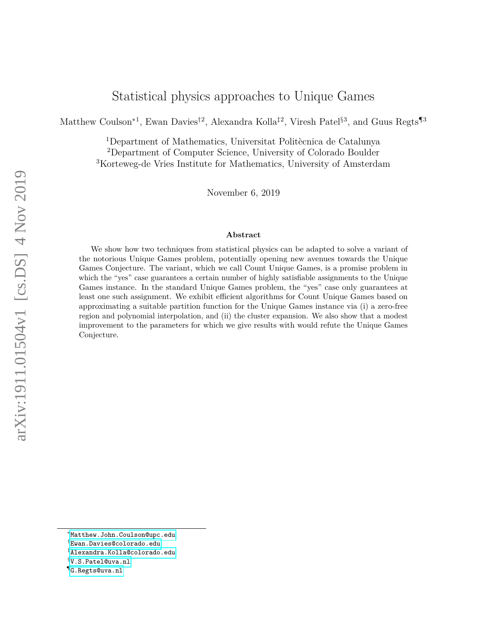# Statistical physics approaches to Unique Games

Matthew Coulson<sup>\*1</sup>, Ewan Davies<sup>†2</sup>, Alexandra Kolla<sup>‡2</sup>, Viresh Patel<sup>§3</sup>, and Guus Regts<sup>¶3</sup>

 $1$ Department of Mathematics, Universitat Politècnica de Catalunya

<sup>2</sup>Department of Computer Science, University of Colorado Boulder <sup>3</sup>Korteweg-de Vries Institute for Mathematics, University of Amsterdam

November 6, 2019

#### **Abstract**

We show how two techniques from statistical physics can be adapted to solve a variant of the notorious Unique Games problem, potentially opening new avenues towards the Unique Games Conjecture. The variant, which we call Count Unique Games, is a promise problem in which the "yes" case guarantees a certain number of highly satisfiable assignments to the Unique Games instance. In the standard Unique Games problem, the "yes" case only guarantees at least one such assignment. We exhibit efficient algorithms for Count Unique Games based on approximating a suitable partition function for the Unique Games instance via (i) a zero-free region and polynomial interpolation, and (ii) the cluster expansion. We also show that a modest improvement to the parameters for which we give results with would refute the Unique Games Conjecture.

<sup>∗</sup> [Matthew.John.Coulson@upc.edu](mailto:Matthew.John.Coulson@upc.edu)

<sup>†</sup> [Ewan.Davies@colorado.edu](mailto:Ewan.Davies@colorado.edu)

<sup>‡</sup> [Alexandra.Kolla@colorado.edu](mailto:Alexandra.Kolla@colorado.edu)

<sup>§</sup> [V.S.Patel@uva.nl](mailto:V.S.Patel@uva.nl)

<sup>¶</sup> [G.Regts@uva.nl](mailto:G.Regts@uva.nl)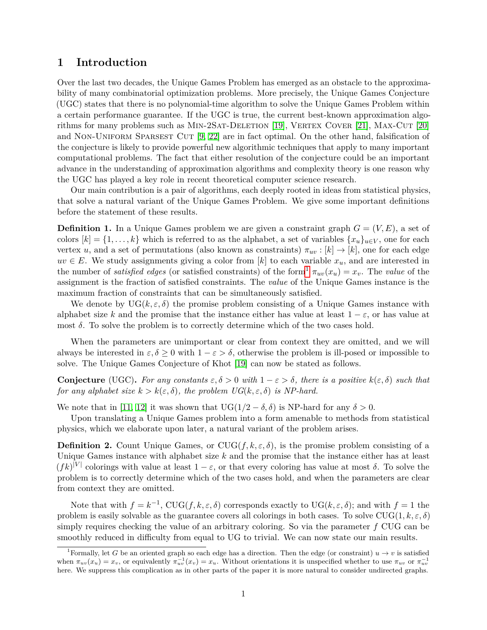### **1 Introduction**

Over the last two decades, the Unique Games Problem has emerged as an obstacle to the approximability of many combinatorial optimization problems. More precisely, the Unique Games Conjecture (UGC) states that there is no polynomial-time algorithm to solve the Unique Games Problem within a certain performance guarantee. If the UGC is true, the current best-known approximation algorithms for many problems such as Min-2Sat-Deletion [\[19\]](#page-25-0), Vertex Cover [\[21\]](#page-25-1), Max-Cut [\[20\]](#page-25-2) and NON-UNIFORM SPARSEST CUT  $[9, 22]$  $[9, 22]$  $[9, 22]$  are in fact optimal. On the other hand, falsification of the conjecture is likely to provide powerful new algorithmic techniques that apply to many important computational problems. The fact that either resolution of the conjecture could be an important advance in the understanding of approximation algorithms and complexity theory is one reason why the UGC has played a key role in recent theoretical computer science research.

Our main contribution is a pair of algorithms, each deeply rooted in ideas from statistical physics, that solve a natural variant of the Unique Games Problem. We give some important definitions before the statement of these results.

**Definition 1.** In a Unique Games problem we are given a constraint graph *G* = (*V, E*), a set of colors  $[k] = \{1, \ldots, k\}$  which is referred to as the alphabet, a set of variables  $\{x_u\}_{u \in V}$ , one for each vertex *u*, and a set of permutations (also known as constraints)  $\pi_{uv} : [k] \to [k]$ , one for each edge  $uv \in E$ . We study assignments giving a color from [*k*] to each variable  $x_u$ , and are interested in the number of *satisfied edges* (or satisfied constraints) of the form<sup>[1](#page-1-0)</sup>  $\pi_{uv}(x_u) = x_v$ . The *value* of the assignment is the fraction of satisfied constraints. The *value* of the Unique Games instance is the maximum fraction of constraints that can be simultaneously satisfied.

We denote by  $UG(k, \varepsilon, \delta)$  the promise problem consisting of a Unique Games instance with alphabet size *k* and the promise that the instance either has value at least  $1 - \varepsilon$ , or has value at most  $\delta$ . To solve the problem is to correctly determine which of the two cases hold.

When the parameters are unimportant or clear from context they are omitted, and we will always be interested in  $\varepsilon, \delta \ge 0$  with  $1 - \varepsilon > \delta$ , otherwise the problem is ill-posed or impossible to solve. The Unique Games Conjecture of Khot [\[19\]](#page-25-0) can now be stated as follows.

**Conjecture** (UGC). For any constants  $\varepsilon, \delta > 0$  with  $1 - \varepsilon > \delta$ , there is a positive  $k(\varepsilon, \delta)$  such that *for any alphabet size*  $k > k(\varepsilon, \delta)$ *, the problem UG*( $k, \varepsilon, \delta$ ) *is NP-hard.* 

We note that in [\[11,](#page-24-1) [12\]](#page-24-2) it was shown that  $UG(1/2 - \delta, \delta)$  is NP-hard for any  $\delta > 0$ .

Upon translating a Unique Games problem into a form amenable to methods from statistical physics, which we elaborate upon later, a natural variant of the problem arises.

**Definition 2.** Count Unique Games, or  $\text{CUG}(f, k, \varepsilon, \delta)$ , is the promise problem consisting of a Unique Games instance with alphabet size *k* and the promise that the instance either has at least  $(fk)^{|V|}$  colorings with value at least  $1 - \varepsilon$ , or that every coloring has value at most  $\delta$ . To solve the problem is to correctly determine which of the two cases hold, and when the parameters are clear from context they are omitted.

Note that with  $f = k^{-1}$ , CUG $(f, k, \varepsilon, \delta)$  corresponds exactly to UG $(k, \varepsilon, \delta)$ ; and with  $f = 1$  the problem is easily solvable as the guarantee covers all colorings in both cases. To solve  $\text{CUG}(1, k, \varepsilon, \delta)$ simply requires checking the value of an arbitrary coloring. So via the parameter *f* CUG can be smoothly reduced in difficulty from equal to UG to trivial. We can now state our main results.

<span id="page-1-0"></span><sup>&</sup>lt;sup>1</sup>Formally, let *G* be an oriented graph so each edge has a direction. Then the edge (or constraint)  $u \to v$  is satisfied when  $\pi_{uv}(x_u) = x_v$ , or equivalently  $\pi_{uv}^{-1}(x_v) = x_u$ . Without orientations it is unspecified whether to use  $\pi_{uv}$  or  $\pi_{uv}^{-1}$ here. We suppress this complication as in other parts of the paper it is more natural to consider undirected graphs.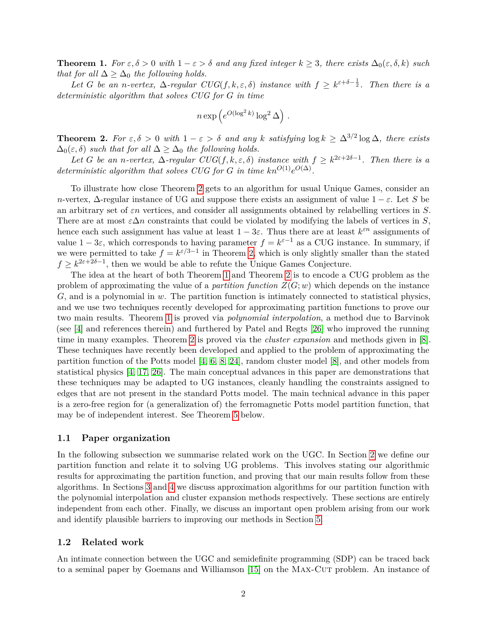<span id="page-2-1"></span>**Theorem 1.** *For*  $\varepsilon, \delta > 0$  *with*  $1 - \varepsilon > \delta$  *and any fixed integer*  $k \geq 3$ *, there exists*  $\Delta_0(\varepsilon, \delta, k)$  *such that for all*  $\Delta \geq \Delta_0$  *the following holds.* 

*Let G be an n*-vertex,  $\Delta$ -regular  $CUG(f, k, \varepsilon, \delta)$  instance with  $f \geq k^{\varepsilon+\delta-\frac{1}{2}}$ . Then there is a *deterministic algorithm that solves CUG for G in time*

$$
n\exp\left(e^{O(\log^2 k)}\log^2 \Delta\right)\,.
$$

<span id="page-2-0"></span>**Theorem 2.** For  $\varepsilon, \delta > 0$  with  $1 - \varepsilon > \delta$  and any k satisfying  $\log k \geq \Delta^{3/2} \log \Delta$ , there exists  $\Delta_0(\varepsilon, \delta)$  *such that for all*  $\Delta \geq \Delta_0$  *the following holds.* 

*Let G be an n*-vertex,  $\Delta$ -regular  $CUG(f, k, \varepsilon, \delta)$  instance with  $f \geq k^{2\varepsilon+2\delta-1}$ . Then there is a *deterministic algorithm that solves CUG for <i>G in time*  $kn^{O(1)}e^{O(\Delta)}$ .

To illustrate how close Theorem [2](#page-2-0) gets to an algorithm for usual Unique Games, consider an *n*-vertex,  $\Delta$ -regular instance of UG and suppose there exists an assignment of value  $1 - \varepsilon$ . Let *S* be an arbitrary set of *εn* vertices, and consider all assignments obtained by relabelling vertices in *S*. There are at most  $\varepsilon \Delta n$  constraints that could be violated by modifying the labels of vertices in *S*, hence each such assignment has value at least  $1 - 3\varepsilon$ . Thus there are at least  $k^{\varepsilon n}$  assignments of value  $1 - 3\varepsilon$ , which corresponds to having parameter  $f = k^{\varepsilon - 1}$  as a CUG instance. In summary, if we were permitted to take  $f = k^{\epsilon/3-1}$  in Theorem [2,](#page-2-0) which is only slightly smaller than the stated  $f \geq k^{2\varepsilon + 2\delta - 1}$ , then we would be able to refute the Unique Games Conjecture.

The idea at the heart of both Theorem [1](#page-2-1) and Theorem [2](#page-2-0) is to encode a CUG problem as the problem of approximating the value of a *partition function*  $Z(G; w)$  which depends on the instance *G*, and is a polynomial in *w*. The partition function is intimately connected to statistical physics, and we use two techniques recently developed for approximating partition functions to prove our two main results. Theorem [1](#page-2-1) is proved via *polynomial interpolation*, a method due to Barvinok (see [\[4\]](#page-24-3) and references therein) and furthered by Patel and Regts [\[26\]](#page-25-4) who improved the running time in many examples. Theorem [2](#page-2-0) is proved via the *cluster expansion* and methods given in [\[8\]](#page-24-4). These techniques have recently been developed and applied to the problem of approximating the partition function of the Potts model [\[4,](#page-24-3) [6,](#page-24-5) [8,](#page-24-4) [24\]](#page-25-5), random cluster model [\[8\]](#page-24-4), and other models from statistical physics [\[4,](#page-24-3) [17,](#page-25-6) [26\]](#page-25-4). The main conceptual advances in this paper are demonstrations that these techniques may be adapted to UG instances, cleanly handling the constraints assigned to edges that are not present in the standard Potts model. The main technical advance in this paper is a zero-free region for (a generalization of) the ferromagnetic Potts model partition function, that may be of independent interest. See Theorem [5](#page-5-0) below.

#### **1.1 Paper organization**

In the following subsection we summarise related work on the UGC. In Section [2](#page-3-0) we define our partition function and relate it to solving UG problems. This involves stating our algorithmic results for approximating the partition function, and proving that our main results follow from these algorithms. In Sections [3](#page-5-1) and [4](#page-16-0) we discuss approximation algorithms for our partition function with the polynomial interpolation and cluster expansion methods respectively. These sections are entirely independent from each other. Finally, we discuss an important open problem arising from our work and identify plausible barriers to improving our methods in Section [5.](#page-19-0)

### **1.2 Related work**

An intimate connection between the UGC and semidefinite programming (SDP) can be traced back to a seminal paper by Goemans and Williamson [\[15\]](#page-24-6) on the Max-Cut problem. An instance of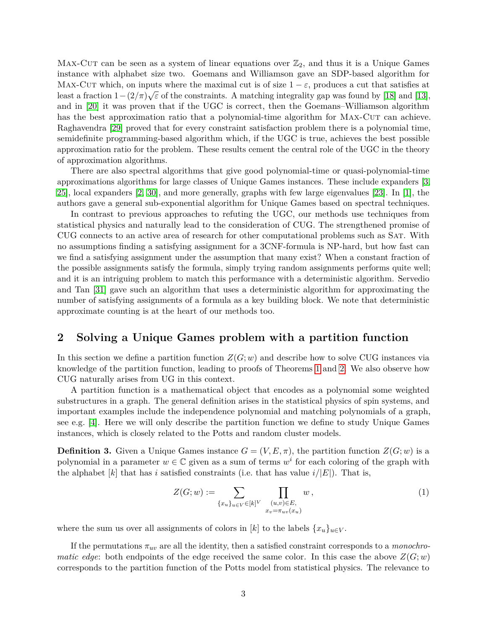MAX-CUT can be seen as a system of linear equations over  $\mathbb{Z}_2$ , and thus it is a Unique Games instance with alphabet size two. Goemans and Williamson gave an SDP-based algorithm for Max-Cut which, on inputs where the maximal cut is of size  $1 - \varepsilon$ , produces a cut that satisfies at least a fraction  $1-(2/\pi)\sqrt{\varepsilon}$  of the constraints. A matching integrality gap was found by [\[18\]](#page-25-7) and [\[13\]](#page-24-7), and in [\[20\]](#page-25-2) it was proven that if the UGC is correct, then the Goemans–Williamson algorithm has the best approximation ratio that a polynomial-time algorithm for MAX-CUT can achieve. Raghavendra [\[29\]](#page-25-8) proved that for every constraint satisfaction problem there is a polynomial time, semidefinite programming-based algorithm which, if the UGC is true, achieves the best possible approximation ratio for the problem. These results cement the central role of the UGC in the theory of approximation algorithms.

There are also spectral algorithms that give good polynomial-time or quasi-polynomial-time approximations algorithms for large classes of Unique Games instances. These include expanders [\[3,](#page-24-8) [25\]](#page-25-9), local expanders [\[2,](#page-24-9) [30\]](#page-25-10), and more generally, graphs with few large eigenvalues [\[23\]](#page-25-11). In [\[1\]](#page-24-10), the authors gave a general sub-exponential algorithm for Unique Games based on spectral techniques.

In contrast to previous approaches to refuting the UGC, our methods use techniques from statistical physics and naturally lead to the consideration of CUG. The strengthened promise of CUG connects to an active area of research for other computational problems such as Sat. With no assumptions finding a satisfying assignment for a 3CNF-formula is NP-hard, but how fast can we find a satisfying assignment under the assumption that many exist? When a constant fraction of the possible assignments satisfy the formula, simply trying random assignments performs quite well; and it is an intriguing problem to match this performance with a deterministic algorithm. Servedio and Tan [\[31\]](#page-25-12) gave such an algorithm that uses a deterministic algorithm for approximating the number of satisfying assignments of a formula as a key building block. We note that deterministic approximate counting is at the heart of our methods too.

### <span id="page-3-0"></span>**2 Solving a Unique Games problem with a partition function**

In this section we define a partition function  $Z(G; w)$  and describe how to solve CUG instances via knowledge of the partition function, leading to proofs of Theorems [1](#page-2-1) and [2.](#page-2-0) We also observe how CUG naturally arises from UG in this context.

A partition function is a mathematical object that encodes as a polynomial some weighted substructures in a graph. The general definition arises in the statistical physics of spin systems, and important examples include the independence polynomial and matching polynomials of a graph, see e.g. [\[4\]](#page-24-3). Here we will only describe the partition function we define to study Unique Games instances, which is closely related to the Potts and random cluster models.

**Definition 3.** Given a Unique Games instance  $G = (V, E, \pi)$ , the partition function  $Z(G; w)$  is a polynomial in a parameter  $w \in \mathbb{C}$  given as a sum of terms  $w^i$  for each coloring of the graph with the alphabet  $[k]$  that has *i* satisfied constraints (i.e. that has value  $i/|E|$ ). That is,

$$
Z(G; w) := \sum_{\{x_u\}_{u \in V} \in [k]^V} \prod_{\substack{(u,v) \in E, \\ x_v = \pi_{uv}(x_u)}} w,
$$
\n(1)

where the sum us over all assignments of colors in  $[k]$  to the labels  $\{x_u\}_{u \in V}$ .

If the permutations  $\pi_{uv}$  are all the identity, then a satisfied constraint corresponds to a *monochromatic edge*: both endpoints of the edge received the same color. In this case the above  $Z(G; w)$ corresponds to the partition function of the Potts model from statistical physics. The relevance to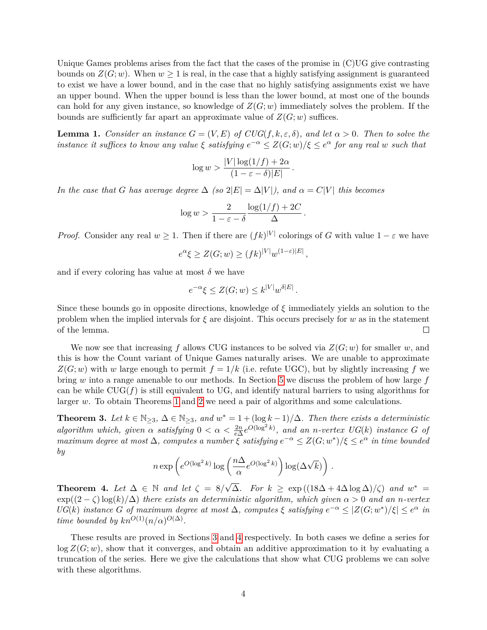Unique Games problems arises from the fact that the cases of the promise in (C)UG give contrasting bounds on  $Z(G; w)$ . When  $w \geq 1$  is real, in the case that a highly satisfying assignment is guaranteed to exist we have a lower bound, and in the case that no highly satisfying assignments exist we have an upper bound. When the upper bound is less than the lower bound, at most one of the bounds can hold for any given instance, so knowledge of  $Z(G; w)$  immediately solves the problem. If the bounds are sufficiently far apart an approximate value of  $Z(G; w)$  suffices.

<span id="page-4-1"></span>**Lemma 1.** *Consider an instance*  $G = (V, E)$  *of CUG*( $f, k, \varepsilon, \delta$ )*, and let*  $\alpha > 0$ *. Then to solve the instance it suffices to know any value*  $\xi$  *satisfying*  $e^{-\alpha} \leq Z(G; w)/\xi \leq e^{\alpha}$  *for any real w such that* 

$$
\log w > \frac{|V| \log(1/f) + 2\alpha}{(1 - \varepsilon - \delta)|E|}
$$

*.*

*In the case that G has average degree*  $\Delta$  *(so*  $2|E| = \Delta |V|$ *), and*  $\alpha = C|V|$  *this becomes* 

$$
\log w > \frac{2}{1-\varepsilon-\delta} \frac{\log(1/f) + 2C}{\Delta}.
$$

*Proof.* Consider any real  $w \geq 1$ . Then if there are  $(fk)^{|V|}$  colorings of *G* with value  $1 - \varepsilon$  we have

$$
e^{\alpha} \xi \ge Z(G; w) \ge (fk)^{|V|} w^{(1-\varepsilon)|E|},
$$

and if every coloring has value at most  $\delta$  we have

$$
e^{-\alpha}\xi \le Z(G; w) \le k^{|V|}w^{\delta|E|}.
$$

Since these bounds go in opposite directions, knowledge of *ξ* immediately yields an solution to the problem when the implied intervals for *ξ* are disjoint. This occurs precisely for *w* as in the statement of the lemma. П

We now see that increasing f allows CUG instances to be solved via  $Z(G; w)$  for smaller w, and this is how the Count variant of Unique Games naturally arises. We are unable to approximate  $Z(G; w)$  with *w* large enough to permit  $f = 1/k$  (i.e. refute UGC), but by slightly increasing f we bring *w* into a range amenable to our methods. In Section [5](#page-19-0) we discuss the problem of how large *f* can be while  $\text{CUG}(f)$  is still equivalent to UG, and identify natural barriers to using algorithms for larger *w*. To obtain Theorems [1](#page-2-1) and [2](#page-2-0) we need a pair of algorithms and some calculations.

<span id="page-4-0"></span>**Theorem 3.** *Let*  $k \in \mathbb{N}_{\geq 3}$ ,  $\Delta \in \mathbb{N}_{\geq 3}$ , and  $w^* = 1 + (\log k - 1)/\Delta$ . Then there exists a deterministic *algorithm which, given*  $\alpha$  *satisfying*  $0 < \alpha < \frac{2n}{e\Delta}e^{O(\log^2 k)}$ , and an *n*-vertex UG(*k*) *instance G of*  $maximum$  degree at most  $\Delta$ , computes a number  $\overline{\xi}$  satisfying  $e^{-\alpha} \leq Z(G; w^*)/\xi \leq e^{\alpha}$  in time bounded *by*

$$
n \exp\left(e^{O(\log^2 k)} \log\left(\frac{n\Delta}{\alpha} e^{O(\log^2 k)}\right) \log(\Delta\sqrt{k})\right).
$$

<span id="page-4-2"></span>**Theorem 4.** Let  $\Delta \in \mathbb{N}$  and let  $\zeta = 8/\sqrt{3}$  $\overline{\Delta}$ *. For*  $k \ge \exp((18\Delta + 4\Delta \log \Delta)/\zeta)$  *and*  $w^* =$  $\exp((2-\zeta)\log(k)/\Delta)$  *there exists an deterministic algorithm, which given*  $\alpha > 0$  *and an n*-vertex *UG*(*k*) *instance G of maximum degree at most*  $\Delta$ , *computes*  $\xi$  *satisfying*  $e^{-\alpha} \leq |Z(G; w^*)/\xi| \leq e^{\alpha}$  *in time bounded by*  $kn^{O(1)}(n/\alpha)^{O(\Delta)}$ .

These results are proved in Sections [3](#page-5-1) and [4](#page-16-0) respectively. In both cases we define a series for  $\log Z(G; w)$ , show that it converges, and obtain an additive approximation to it by evaluating a truncation of the series. Here we give the calculations that show what CUG problems we can solve with these algorithms.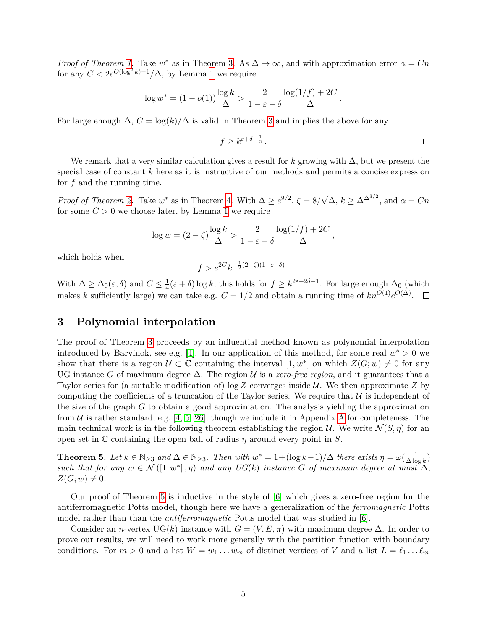*Proof of Theorem [1.](#page-2-1)* Take  $w^*$  as in Theorem [3.](#page-4-0) As  $\Delta \to \infty$ , and with approximation error  $\alpha = Cn$ for any  $C < 2e^{O(\log^2 k) - 1}/\Delta$  $C < 2e^{O(\log^2 k) - 1}/\Delta$  $C < 2e^{O(\log^2 k) - 1}/\Delta$ , by Lemma 1 we require

$$
\log w^* = (1 - o(1)) \frac{\log k}{\Delta} > \frac{2}{1 - \varepsilon - \delta} \frac{\log(1/f) + 2C}{\Delta}.
$$

For large enough  $\Delta$ ,  $C = \log(k)/\Delta$  is valid in Theorem [3](#page-4-0) and implies the above for any

$$
f \ge k^{\varepsilon + \delta - \frac{1}{2}} \, .
$$

*,*

We remark that a very similar calculation gives a result for  $k$  growing with  $\Delta$ , but we present the special case of constant *k* here as it is instructive of our methods and permits a concise expression for *f* and the running time.

*Proof of Theorem [2.](#page-2-0)* Take  $w^*$  as in Theorem [4.](#page-4-2) With  $\Delta \geq e^{9/2}, \zeta = 8/$  $\sqrt{\Delta}$ ,  $k \geq \Delta^{\Delta^{3/2}}$ , and  $\alpha = Cn$ for some  $C > 0$  we choose later, by Lemma [1](#page-4-1) we require

$$
\log w = (2 - \zeta) \frac{\log k}{\Delta} > \frac{2}{1 - \varepsilon - \delta} \frac{\log(1/f) + 2C}{\Delta}
$$

which holds when

$$
f > e^{2C} k^{-\frac{1}{2}(2-\zeta)(1-\varepsilon-\delta)}.
$$

With  $\Delta \geq \Delta_0(\varepsilon, \delta)$  and  $C \leq \frac{1}{4}$  $\frac{1}{4}(\varepsilon + \delta) \log k$ , this holds for  $f \geq k^{2\varepsilon + 2\delta - 1}$ . For large enough  $\Delta_0$  (which makes *k* sufficiently large) we can take e.g.  $C = 1/2$  and obtain a running time of  $kn^{O(1)}e^{O(\Delta)}$ .

### <span id="page-5-1"></span>**3 Polynomial interpolation**

The proof of Theorem [3](#page-4-0) proceeds by an influential method known as polynomial interpolation introduced by Barvinok, see e.g. [\[4\]](#page-24-3). In our application of this method, for some real  $w^* > 0$  we show that there is a region  $\mathcal{U} \subset \mathbb{C}$  containing the interval  $[1, w^*]$  on which  $Z(G; w) \neq 0$  for any UG instance G of maximum degree  $\Delta$ . The region U is a *zero-free region*, and it guarantees that a Taylor series for (a suitable modification of) log *Z* converges inside U. We then approximate *Z* by computing the coefficients of a truncation of the Taylor series. We require that  $\mathcal U$  is independent of the size of the graph *G* to obtain a good approximation. The analysis yielding the approximation from  $U$  is rather standard, e.g. [\[4,](#page-24-3) [5,](#page-24-11) [26\]](#page-25-4), though we include it in [A](#page-21-0)ppendix A for completeness. The main technical work is in the following theorem establishing the region U. We write  $\mathcal{N}(S,\eta)$  for an open set in  $\mathbb C$  containing the open ball of radius  $\eta$  around every point in *S*.

<span id="page-5-0"></span>**Theorem 5.** Let  $k \in \mathbb{N}_{\geq 3}$  and  $\Delta \in \mathbb{N}_{\geq 3}$ . Then with  $w^* = 1 + (\log k - 1)/\Delta$  there exists  $\eta = \omega(\frac{1}{\Delta \log n})$  $\frac{1}{\Delta \log k}$ *such that for any*  $w \in \mathcal{N}([1, w^*], \eta)$  *and any*  $UG(k)$  *instance G of maximum degree at most*  $\Delta$ *,*  $Z(G; w) \neq 0$ .

Our proof of Theorem [5](#page-5-0) is inductive in the style of [\[6\]](#page-24-5) which gives a zero-free region for the antiferromagnetic Potts model, though here we have a generalization of the *ferromagnetic* Potts model rather than than the *antiferromagnetic* Potts model that was studied in [\[6\]](#page-24-5).

Consider an *n*-vertex UG(*k*) instance with  $G = (V, E, \pi)$  with maximum degree  $\Delta$ . In order to prove our results, we will need to work more generally with the partition function with boundary conditions. For  $m > 0$  and a list  $W = w_1 \dots w_m$  of distinct vertices of *V* and a list  $L = \ell_1 \dots \ell_m$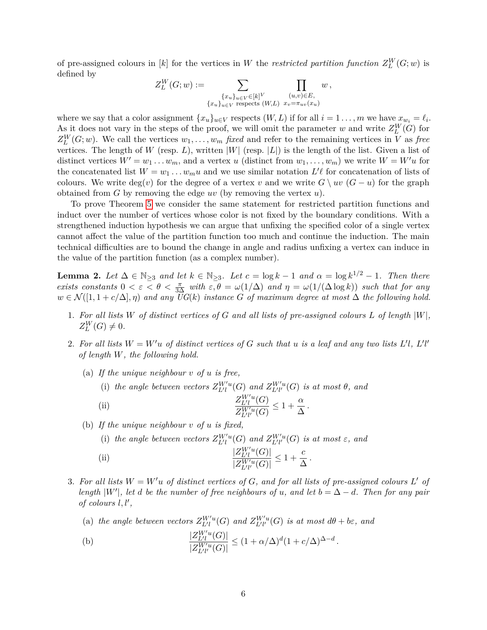of pre-assigned colours in [k] for the vertices in W the *restricted partition function*  $Z_L^W(G; w)$  is defined by

$$
Z_L^W(G; w) := \sum_{\substack{\{x_u\}_{u \in V} \in [k]^V \\ \{x_u\}_{u \in V} \text{ respects } (W, L)}} \prod_{\substack{(u,v) \in E, \\ x_v = \pi_{uv}(x_u)}} w,
$$

where we say that a color assignment  $\{x_u\}_{u \in V}$  respects  $(W, L)$  if for all  $i = 1 \ldots, m$  we have  $x_{w_i} = \ell_i$ . As it does not vary in the steps of the proof, we will omit the parameter *w* and write  $Z_L^W(G)$  for  $Z_L^W(G; w)$ . We call the vertices  $w_1, \ldots, w_m$  *fixed* and refer to the remaining vertices in *V* as *free* vertices. The length of *W* (resp. *L*), written  $|W|$  (resp.  $|L|$ ) is the length of the list. Given a list of distinct vertices  $W' = w_1 \dots w_m$ , and a vertex *u* (distinct from  $w_1, \dots, w_m$ ) we write  $W = W'u$  for the concatenated list  $W = w_1 \dots w_m u$  and we use similar notation  $L' \ell$  for concatenation of lists of colours. We write deg(*v*) for the degree of a vertex *v* and we write  $G \setminus uv$  ( $G - u$ ) for the graph obtained from *G* by removing the edge *uv* (by removing the vertex *u*).

To prove Theorem [5](#page-5-0) we consider the same statement for restricted partition functions and induct over the number of vertices whose color is not fixed by the boundary conditions. With a strengthened induction hypothesis we can argue that unfixing the specified color of a single vertex cannot affect the value of the partition function too much and continue the induction. The main technical difficulties are to bound the change in angle and radius unfixing a vertex can induce in the value of the partition function (as a complex number).

<span id="page-6-3"></span>**Lemma 2.** Let  $\Delta \in \mathbb{N}_{\geq 3}$  and let  $k \in \mathbb{N}_{\geq 3}$ . Let  $c = \log k - 1$  and  $\alpha = \log k^{1/2} - 1$ . Then there *exists constants*  $0 < \varepsilon < \theta < \frac{\pi}{3\Delta}$  *with*  $\varepsilon, \theta = \omega(1/\Delta)$  *and*  $\eta = \omega(1/(\Delta \log k))$  *such that for any*  $w \in \mathcal{N}([1, 1+c/\Delta], \eta)$  *and any UG*(*k*) *instance G of maximum degree at most*  $\Delta$  *the following hold.* 

- <span id="page-6-0"></span>1. *For all lists W of distinct vertices of G and all lists of pre-assigned colours L of length* |*W*|*,*  $Z_L^W(G) \neq 0$ *.*
- <span id="page-6-4"></span><span id="page-6-1"></span>2. For all lists  $W = W'u$  of distinct vertices of G such that u is a leaf and any two lists  $L'l$ ,  $L'l'$ *of length W, the following hold.*
	- (a) *If the unique neighbour v of u is free,*
		- (i) the angle between vectors  $Z_{L'l}^{W'u}(G)$  and  $Z_{L'l'}^{W'u}(G)$  is at most  $\theta$ , and

<span id="page-6-6"></span>(ii) 
$$
\frac{Z_{L'l}^{W'u}(G)}{Z_{L'l'}^{W'u}(G)} \leq 1 + \frac{\alpha}{\Delta}.
$$

<span id="page-6-8"></span><span id="page-6-7"></span><span id="page-6-5"></span>(b) *If the unique neighbour v of u is fixed,*

(i) the angle between vectors  $Z_{L'l}^{W'u}(G)$  and  $Z_{L'l'}^{W'u}(G)$  is at most  $\varepsilon$ , and

(ii) 
$$
\frac{|Z_{L'l}^{W'u}(G)|}{|Z_{L'l'}^{W'u}(G)|} \leq 1 + \frac{c}{\Delta}.
$$

- <span id="page-6-9"></span><span id="page-6-2"></span>3. For all lists  $W = W'u$  of distinct vertices of  $G$ , and for all lists of pre-assigned colours  $L'$  of *length*  $|W'|$ , *let d be the number of free neighbours of u*, and *let*  $b = \Delta - d$ *. Then for any pair of colours*  $l, l',$ 
	- (a) the angle between vectors  $Z_{L'l}^{W'u}(G)$  and  $Z_{L'l'}^{W'u}(G)$  is at most  $d\theta + b\varepsilon$ , and

<span id="page-6-11"></span><span id="page-6-10"></span>(b) 
$$
\frac{|Z_{L'l}^{W'u}(G)|}{|Z_{L'l'}^{W'u}(G)|} \le (1 + \alpha/\Delta)^d (1 + c/\Delta)^{\Delta - d}.
$$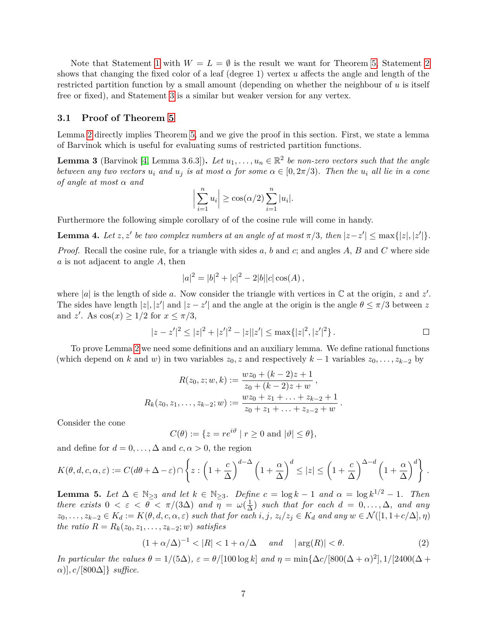Note that Statement [1](#page-6-0) with  $W = L = \emptyset$  is the result we want for Theorem [5,](#page-5-0) Statement [2](#page-6-1) shows that changing the fixed color of a leaf (degree 1) vertex *u* affects the angle and length of the restricted partition function by a small amount (depending on whether the neighbour of *u* is itself free or fixed), and Statement [3](#page-6-2) is a similar but weaker version for any vertex.

#### **3.1 Proof of Theorem [5](#page-5-0)**

Lemma [2](#page-6-3) directly implies Theorem [5,](#page-5-0) and we give the proof in this section. First, we state a lemma of Barvinok which is useful for evaluating sums of restricted partition functions.

<span id="page-7-1"></span>**Lemma 3** (Barvinok [\[4,](#page-24-3) Lemma 3.6.3]). Let  $u_1, \ldots, u_n \in \mathbb{R}^2$  be non-zero vectors such that the angle *between any two vectors*  $u_i$  *and*  $u_j$  *is at most*  $\alpha$  *for some*  $\alpha \in [0, 2\pi/3)$ *. Then the*  $u_i$  *all lie in a cone of angle at most α and*

$$
\left|\sum_{i=1}^n u_i\right| \ge \cos(\alpha/2) \sum_{i=1}^n |u_i|.
$$

Furthermore the following simple corollary of of the cosine rule will come in handy.

<span id="page-7-2"></span>**Lemma 4.** Let  $z, z'$  be two complex numbers at an angle of at most  $\pi/3$ , then  $|z-z'| \leq \max\{|z|, |z'|$ .

*Proof.* Recall the cosine rule, for a triangle with sides *a*, *b* and *c*; and angles *A*, *B* and *C* where side *a* is not adjacent to angle *A*, then

$$
|a|^2 = |b|^2 + |c|^2 - 2|b||c|\cos(A),
$$

where  $|a|$  is the length of side *a*. Now consider the triangle with vertices in  $\mathbb C$  at the origin, *z* and *z'*. The sides have length  $|z|, |z'|$  and  $|z - z'|$  and the angle at the origin is the angle  $\theta \leq \pi/3$  between *z* and *z'*. As  $\cos(x) \geq 1/2$  for  $x \leq \pi/3$ ,

$$
|z - z'|^2 \le |z|^2 + |z'|^2 - |z||z'| \le \max\{|z|^2, |z'|^2\}.
$$

*.*

To prove Lemma [2](#page-6-3) we need some definitions and an auxiliary lemma. We define rational functions (which depend on *k* and *w*) in two variables  $z_0, z$  and respectively  $k-1$  variables  $z_0, \ldots, z_{k-2}$  by

$$
R(z_0, z; w, k) := \frac{wz_0 + (k-2)z + 1}{z_0 + (k-2)z + w},
$$
  
\n
$$
R_k(z_0, z_1, \dots, z_{k-2}; w) := \frac{wz_0 + z_1 + \dots + z_{k-2} + 1}{z_0 + z_1 + \dots + z_{z-2} + w}
$$

Consider the cone

 $C(\theta) := \{z = re^{i\vartheta} \mid r \geq 0 \text{ and } |\vartheta| \leq \theta\},\$ 

and define for  $d = 0, \ldots, \Delta$  and  $c, \alpha > 0$ , the region

$$
K(\theta, d, c, \alpha, \varepsilon) := C(d\theta + \Delta - \varepsilon) \cap \left\{ z : \left(1 + \frac{c}{\Delta}\right)^{d-\Delta} \left(1 + \frac{\alpha}{\Delta}\right)^d \leq |z| \leq \left(1 + \frac{c}{\Delta}\right)^{\Delta - d} \left(1 + \frac{\alpha}{\Delta}\right)^d \right\}.
$$

<span id="page-7-0"></span>**Lemma 5.** Let  $\Delta \in \mathbb{N}_{\geq 3}$  and let  $k \in \mathbb{N}_{\geq 3}$ . Define  $c = \log k - 1$  and  $\alpha = \log k^{1/2} - 1$ . Then *there exists*  $0 < \varepsilon < \theta < \pi/(3\Delta)$  *and*  $\eta = \omega(\frac{1}{\Delta})$  $\frac{1}{\Delta}$  *such that for each*  $d = 0, \ldots, \Delta$ *, and any*  $z_0,\ldots,z_{k-2}\in K_d:=K(\theta,d,c,\alpha,\varepsilon)$  such that for each  $i,j,z_i/z_j\in K_d$  and any  $w\in\mathcal{N}([1,1+c/\Delta],\eta)$ *the ratio*  $R = R_k(z_0, z_1, \ldots, z_{k-2}; w)$  *satisfies* 

$$
(1 + \alpha/\Delta)^{-1} < |R| < 1 + \alpha/\Delta \quad \text{and} \quad |\arg(R)| < \theta. \tag{2}
$$

*In particular the values*  $\theta = 1/(5\Delta)$ ,  $\varepsilon = \theta/[100 \log k]$  *and*  $\eta = \min{\{\Delta c/[800(\Delta + \alpha)^2]}, 1/[2400(\Delta +$ *α*)]*, c/*[800∆]} *suffice.*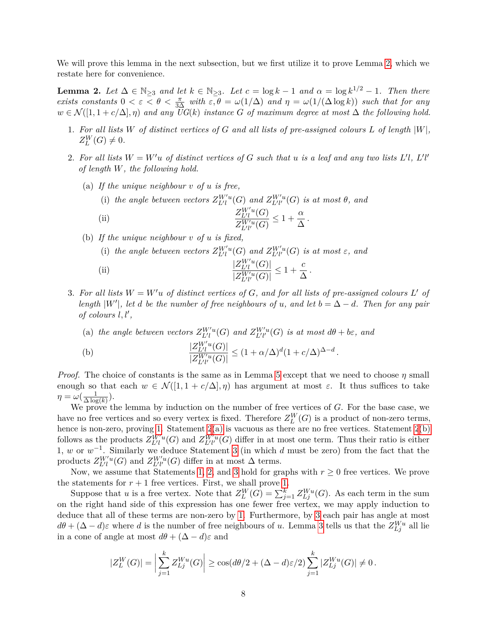We will prove this lemma in the next subsection, but we first utilize it to prove Lemma [2,](#page-6-3) which we restate here for convenience.

**Lemma 2.** Let  $\Delta \in \mathbb{N}_{\geq 3}$  and let  $k \in \mathbb{N}_{\geq 3}$ . Let  $c = \log k - 1$  and  $\alpha = \log k^{1/2} - 1$ . Then there *exists constants*  $0 < \varepsilon < \theta < \frac{\pi}{3\Delta}$  *with*  $\varepsilon, \theta = \omega(1/\Delta)$  *and*  $\eta = \omega(1/(\Delta \log k))$  *such that for any*  $w \in \mathcal{N}([1, 1+c/\Delta], \eta)$  *and any*  $\overline{U}G(k)$  *instance G of maximum degree at most*  $\Delta$  *the following hold.* 

- 1. *For all lists W of distinct vertices of G and all lists of pre-assigned colours L of length* |*W*|*,*  $Z_L^W(G) \neq 0$ *.*
- 2. For all lists  $W = W'u$  of distinct vertices of G such that u is a leaf and any two lists  $L'l$ ,  $L'l'$ *of length W, the following hold.*
	- (a) *If the unique neighbour v of u is free,*
		- (i) the angle between vectors  $Z_{L'l}^{W'u}(G)$  and  $Z_{L'l'}^{W'u}(G)$  is at most  $\theta$ , and

(ii) 
$$
\frac{Z_{L'l}^{W'u}(G)}{Z_{L'l'}^{W'u}(G)} \leq 1 + \frac{\alpha}{\Delta}.
$$

- (b) *If the unique neighbour v of u is fixed,*
	- (i) the angle between vectors  $Z_{L'l}^{W'u}(G)$  and  $Z_{L'l'}^{W'u}(G)$  is at most  $\varepsilon$ , and

(ii) 
$$
\frac{|Z_{L'l}^{W'u}(G)|}{|Z_{L'l'}^{W'u}(G)|} \leq 1 + \frac{c}{\Delta}.
$$

3. For all lists  $W = W'u$  of distinct vertices of  $G$ , and for all lists of pre-assigned colours  $L'$  of *length*  $|W'|$ , *let d be the number of free neighbours of u*, and *let*  $b = \Delta - d$ *. Then for any pair of colours*  $l, l',$ 

(a) the angle between vectors 
$$
Z_{L'l}^{W'u}(G)
$$
 and  $Z_{L'l'}^{W'u}(G)$  is at most  $d\theta + b\varepsilon$ , and

(b) 
$$
\frac{|Z_{L'l}^{W'u}(G)|}{|Z_{L'l'}^{W'u}(G)|} \le (1 + \alpha/\Delta)^d (1 + c/\Delta)^{\Delta - d}.
$$

*Proof.* The choice of constants is the same as in Lemma [5](#page-7-0) except that we need to choose *η* small enough so that each  $w \in \mathcal{N}([1, 1 + c/\Delta], \eta)$  has argument at most  $\varepsilon$ . It thus suffices to take  $\eta = \omega(\frac{1}{\Delta \log n})$  $\frac{1}{\Delta \log(k)}$ ).

We prove the lemma by induction on the number of free vertices of *G*. For the base case, we have no free vertices and so every vertex is fixed. Therefore  $Z_L^W(G)$  is a product of non-zero terms, hence is non-zero, proving [1.](#page-6-0) Statement  $2(a)$  $2(a)$  is vacuous as there are no free vertices. Statement  $2(b)$  $2(b)$ follows as the products  $Z_{L'l}^{W'u}(G)$  and  $Z_{L'l'}^{W'u}(G)$  differ in at most one term. Thus their ratio is either 1, *w* or  $w^{-1}$ . Similarly we deduce Statement [3](#page-6-2) (in which *d* must be zero) from the fact that the products  $Z_{L'l}^{W'u}(G)$  and  $Z_{L'l'}^{W'u}(G)$  differ in at most  $\Delta$  terms.

Now, we assume that Statements [1,](#page-6-0) [2,](#page-6-1) and [3](#page-6-2) hold for graphs with  $r \geq 0$  free vertices. We prove the statements for  $r + 1$  free vertices. First, we shall prove [1.](#page-6-0)

Suppose that *u* is a free vertex. Note that  $Z_L^W(G) = \sum_{j=1}^k Z_{Lj}^{Wu}(G)$ . As each term in the sum on the right hand side of this expression has one fewer free vertex, we may apply induction to deduce that all of these terms are non-zero by [1.](#page-6-0) Furthermore, by [3](#page-6-2) each pair has angle at most  $d\theta + (\Delta - d)\varepsilon$  where *d* is the number of free neighbours of *u*. Lemma [3](#page-7-1) tells us that the  $Z_{Lj}^{Wu}$  all lie in a cone of angle at most  $d\theta + (\Delta - d)\varepsilon$  and

$$
|Z_L^W(G)| = \left|\sum_{j=1}^k Z_{Lj}^{Wu}(G)\right| \geq \cos(d\theta/2 + (\Delta - d)\varepsilon/2) \sum_{j=1}^k |Z_{Lj}^{Wu}(G)| \neq 0.
$$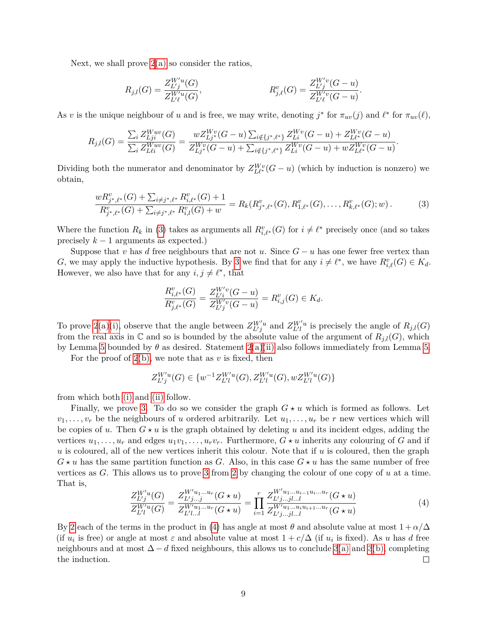Next, we shall prove  $2(a)$  $2(a)$  so consider the ratios,

$$
R_{j,l}(G) = \frac{Z_{L'j}^{W'u}(G)}{Z_{L'\ell}^{W'u}(G)}, \qquad R_{j,\ell}^v(G) = \frac{Z_{L'j}^{W'v}(G-u)}{Z_{L'\ell}^{W'v}(G-u)}.
$$

As *v* is the unique neighbour of *u* and is free, we may write, denoting  $j^*$  for  $\pi_{uv}(j)$  and  $\ell^*$  for  $\pi_{uv}(\ell)$ ,

$$
R_{j,l}(G) = \frac{\sum_{i} Z_{Lji}^{Wuv}(G)}{\sum_{i} Z_{L\ell i}^{Wuv}(G)} = \frac{w Z_{Lj^*}^{Wv}(G-u) \sum_{i \notin \{j^*, \ell^*\}} Z_{Li}^{Wv}(G-u) + Z_{L\ell^*}^{Wv}(G-u)}{Z_{Lj^*}^{Wv}(G-u) + \sum_{i \notin \{j^*, \ell^*\}} Z_{Li}^{Wv}(G-u) + w Z_{L\ell^*}^{Wv}(G-u)}.
$$

Dividing both the numerator and denominator by  $Z_{L\ell^*}^{Wv}(G - u)$  (which by induction is nonzero) we obtain,

<span id="page-9-0"></span>
$$
\frac{wR_{j^*,\ell^*}^v(G) + \sum_{i \neq j^*,\ell^*} R_{i,\ell^*}^v(G) + 1}{R_{j^*,\ell^*}^v(G) + \sum_{i \neq j^*,\ell^*} R_{i,l}^v(G) + w} = R_k(R_{j^*,\ell^*}^v(G), R_{1,\ell^*}^v(G), \dots, R_{k,\ell^*}^v(G); w) \,.
$$
\n
$$
(3)
$$

Where the function  $R_k$  in [\(3\)](#page-9-0) takes as arguments all  $R^v_{i,\ell^*}(G)$  for  $i \neq \ell^*$  precisely once (and so takes precisely *k* − 1 arguments as expected.)

Suppose that *v* has *d* free neighbours that are not *u*. Since  $G - u$  has one fewer free vertex than *G*, we may apply the inductive hypothesis. By [3](#page-6-2) we find that for any  $i \neq \ell^*$ , we have  $R^v_{i,\ell}(G) \in K_d$ . However, we also have that for any  $i, j \neq \ell^*$ , that

$$
\frac{R_{i,\ell^*}^v(G)}{R_{j,\ell^*}^v(G)} = \frac{Z_{L'i}^{W'v}(G - u)}{Z_{L'j}^{W'v}(G - u)} = R_{i,j}^v(G) \in K_d.
$$

To prove [2](#page-6-1)[\(a\)](#page-6-4)[\(i\),](#page-6-6) observe that the angle between  $Z_{L'j}^{W'u}$  and  $Z_{L'l}^{W'u}$  is precisely the angle of  $R_{j,l}(G)$ from the real axis in  $\mathbb C$  and so is bounded by the absolute value of the argument of  $R_{j,l}(G)$ , which by Lemma [5](#page-7-0) bounded by  $\theta$  as desired. Statement  $2(a)(ii)$  $2(a)(ii)$  $2(a)(ii)$  also follows immediately from Lemma [5.](#page-7-0)

For the proof of  $2(b)$ , we note that as  $v$  is fixed, then

$$
Z_{L'j}^{W'u}(G) \in \{w^{-1}Z_{L'l}^{W'u}(G), Z_{L'l}^{W'u}(G), wZ_{L'l}^{W'u}(G)\}
$$

from which both [\(i\)](#page-6-8) and [\(ii\)](#page-6-9) follow.

Finally, we prove [3.](#page-6-2) To do so we consider the graph  $G \star u$  which is formed as follows. Let  $v_1, \ldots, v_r$  be the neighbours of *u* ordered arbitrarily. Let  $u_1, \ldots, u_r$  be *r* new vertices which will be copies of *u*. Then  $G \star u$  is the graph obtained by deleting *u* and its incident edges, adding the vertices  $u_1, \ldots, u_r$  and edges  $u_1v_1, \ldots, u_rv_r$ . Furthermore,  $G \star u$  inherits any colouring of *G* and if *u* is coloured, all of the new vertices inherit this colour. Note that if *u* is coloured, then the graph  $G \star u$  has the same partition function as *G*. Also, in this case  $G \star u$  has the same number of free vertices as *G*. This allows us to prove [3](#page-6-2) from [2](#page-6-1) by changing the colour of one copy of *u* at a time. That is,

<span id="page-9-1"></span>
$$
\frac{Z_{L'j}^{W'u}(G)}{Z_{L'l}^{W'u}(G)} = \frac{Z_{L'j...j}^{W'u_1...u_r}(G \star u)}{Z_{L'l...l}^{W'u_1...u_r}(G \star u)} = \prod_{i=1}^{r} \frac{Z_{L'j...j}^{W'u_1...u_{i-1}u_i...u_r}(G \star u)}{Z_{L'j...j}^{W'u_1...u_i}G \star u}
$$
(4)

By [2](#page-6-1) each of the terms in the product in [\(4\)](#page-9-1) has angle at most  $\theta$  and absolute value at most  $1 + \alpha/\Delta$ (if  $u_i$  is free) or angle at most  $\varepsilon$  and absolute value at most  $1 + c/\Delta$  (if  $u_i$  is fixed). As *u* has *d* free neighbours and at most  $\Delta - d$  fixed neighbours, this allows us to conclude [3](#page-6-2)[\(a\)](#page-6-10) and 3[\(b\),](#page-6-11) completing the induction.  $\Box$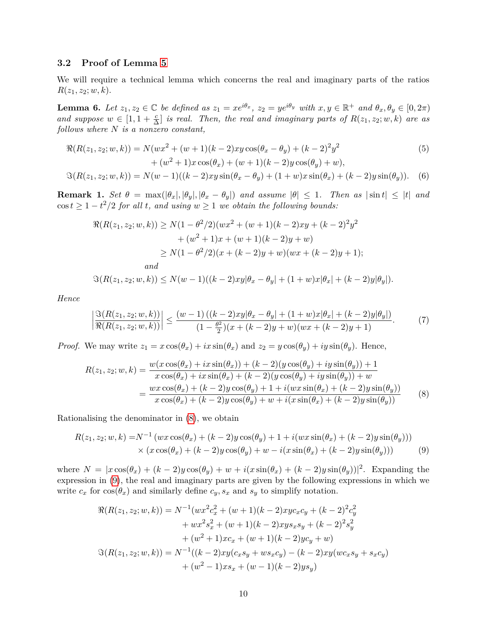### <span id="page-10-7"></span>**3.2 Proof of Lemma [5](#page-7-0)**

We will require a technical lemma which concerns the real and imaginary parts of the ratios  $R(z_1, z_2; w, k)$ .

<span id="page-10-5"></span>**Lemma 6.** Let  $z_1, z_2 \in \mathbb{C}$  be defined as  $z_1 = xe^{i\theta_x}$ ,  $z_2 = ye^{i\theta_y}$  with  $x, y \in \mathbb{R}^+$  and  $\theta_x, \theta_y \in [0, 2\pi)$ *and suppose*  $w \in [1, 1 + \frac{c}{\Delta}]$  *is real. Then, the real and imaginary parts of*  $R(z_1, z_2; w, k)$  *are as follows where N is a nonzero constant,*

$$
\Re(R(z_1, z_2; w, k)) = N(wx^2 + (w+1)(k-2)xy\cos(\theta_x - \theta_y) + (k-2)^2y^2 + (w^2+1)x\cos(\theta_x) + (w+1)(k-2)y\cos(\theta_y) + w),
$$
  
\n
$$
\Im(R(z_1, z_2; w, k)) = N(w-1)((k-2)xy\sin(\theta_x - \theta_y) + (1+w)x\sin(\theta_x) + (k-2)y\sin(\theta_y)).
$$
 (6)

<span id="page-10-6"></span>**Remark 1.** *Set*  $\theta = \max(|\theta_x|, |\theta_y|, |\theta_x - \theta_y|)$  *and assume*  $|\theta| \leq 1$ *. Then as*  $|\sin t| \leq |t|$  *and*  $\cos t \geq 1 - t^2/2$  *for all t, and using*  $w \geq 1$  *we obtain the following bounds:* 

<span id="page-10-3"></span><span id="page-10-2"></span>
$$
\Re(R(z_1, z_2; w, k)) \ge N(1 - \theta^2/2)(wx^2 + (w+1)(k-2)xy + (k-2)^2y^2
$$
  
+  $(w^2 + 1)x + (w+1)(k-2)y + w)$   
 $\ge N(1 - \theta^2/2)(x + (k-2)y + w)(wx + (k-2)y + 1);$   
and  

$$
\Im(R(z_1, z_2; w, k)) \le N(w-1)((k-2)xy|\theta_x - \theta_y| + (1+w)x|\theta_x| + (k-2)y|\theta_y|).
$$

*Hence*

<span id="page-10-4"></span>
$$
\left| \frac{\Im(R(z_1, z_2; w, k))}{\Re(R(z_1, z_2; w, k))} \right| \le \frac{(w - 1)((k - 2)xy|\theta_x - \theta_y| + (1 + w)x|\theta_x| + (k - 2)y|\theta_y|)}{(1 - \frac{\theta^2}{2})(x + (k - 2)y + w)(wx + (k - 2)y + 1)}.
$$
(7)

*Proof.* We may write  $z_1 = x \cos(\theta_x) + ix \sin(\theta_x)$  and  $z_2 = y \cos(\theta_y) + iy \sin(\theta_y)$ . Hence,

<span id="page-10-0"></span>
$$
R(z_1, z_2; w, k) = \frac{w(x \cos(\theta_x) + ix \sin(\theta_x)) + (k-2)(y \cos(\theta_y) + iy \sin(\theta_y)) + 1}{x \cos(\theta_x) + ix \sin(\theta_x) + (k-2)(y \cos(\theta_y) + iy \sin(\theta_y)) + w}
$$
  
= 
$$
\frac{wx \cos(\theta_x) + (k-2)y \cos(\theta_y) + 1 + i(wx \sin(\theta_x) + (k-2)y \sin(\theta_y))}{x \cos(\theta_x) + (k-2)y \cos(\theta_y) + w + i(x \sin(\theta_x) + (k-2)y \sin(\theta_y))}
$$
(8)

Rationalising the denominator in [\(8\)](#page-10-0), we obtain

$$
R(z_1, z_2; w, k) = N^{-1} (wx \cos(\theta_x) + (k-2)y \cos(\theta_y) + 1 + i(wx \sin(\theta_x) + (k-2)y \sin(\theta_y)))
$$
  
 
$$
\times (x \cos(\theta_x) + (k-2)y \cos(\theta_y) + w - i(x \sin(\theta_x) + (k-2)y \sin(\theta_y)))
$$
 (9)

where  $N = |x\cos(\theta_x) + (k-2)y\cos(\theta_y) + w + i(x\sin(\theta_x) + (k-2)y\sin(\theta_y))|^2$ . Expanding the expression in [\(9\)](#page-10-1), the real and imaginary parts are given by the following expressions in which we write  $c_x$  for  $cos(\theta_x)$  and similarly define  $c_y$ ,  $s_x$  and  $s_y$  to simplify notation.

<span id="page-10-1"></span>
$$
\Re(R(z_1, z_2; w, k)) = N^{-1}(wx^2c_x^2 + (w+1)(k-2)xyc_xc_y + (k-2)^2c_y^2
$$
  
+  $wx^2s_x^2 + (w+1)(k-2)xyz_s s_y + (k-2)^2s_y^2$   
+  $(w^2 + 1)xc_x + (w+1)(k-2)yc_y + w)$   

$$
\Im(R(z_1, z_2; w, k)) = N^{-1}((k-2)xy(c_xs_y + ws_xc_y) - (k-2)xy(wc_xs_y + s_xc_y)
$$
  
+  $(w^2 - 1)xs_x + (w - 1)(k-2)ys_y)$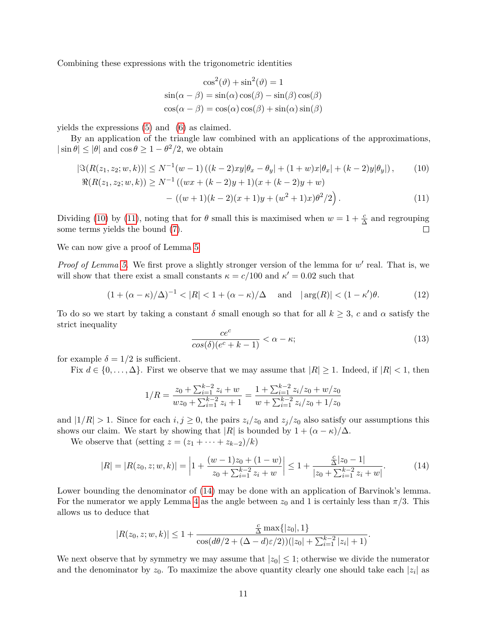Combining these expressions with the trigonometric identities

$$
\cos^{2}(\vartheta) + \sin^{2}(\vartheta) = 1
$$
  
\n
$$
\sin(\alpha - \beta) = \sin(\alpha)\cos(\beta) - \sin(\beta)\cos(\beta)
$$
  
\n
$$
\cos(\alpha - \beta) = \cos(\alpha)\cos(\beta) + \sin(\alpha)\sin(\beta)
$$

yields the expressions [\(5\)](#page-10-2) and [\(6\)](#page-10-3) as claimed.

By an application of the triangle law combined with an applications of the approximations,  $|\sin \theta| \le |\theta|$  and  $\cos \theta \ge 1 - \theta^2/2$ , we obtain

$$
|\Im(R(z_1, z_2; w, k))| \le N^{-1}(w - 1) \left( (k - 2)xy | \theta_x - \theta_y | + (1 + w)x | \theta_x | + (k - 2)y | \theta_y \right),
$$
(10)  

$$
\Re(R(z_1, z_2; w, k)) \ge N^{-1} \left( (wx + (k - 2)y + 1)(x + (k - 2)y + w) \right)
$$

<span id="page-11-1"></span><span id="page-11-0"></span>
$$
- ((w+1)(k-2)(x+1)y + (w^2+1)x)\theta^2/2).
$$
 (11)

Dividing [\(10\)](#page-11-0) by [\(11\)](#page-11-1), noting that for  $\theta$  small this is maximised when  $w = 1 + \frac{c}{\Delta}$  and regrouping some terms yields the bound [\(7\)](#page-10-4).  $\Box$ 

We can now give a proof of Lemma [5](#page-7-0)

*Proof of Lemma [5.](#page-7-0)* We first prove a slightly stronger version of the lemma for w' real. That is, we will show that there exist a small constants  $\kappa = c/100$  and  $\kappa' = 0.02$  such that

<span id="page-11-4"></span>
$$
(1 + (\alpha - \kappa)/\Delta)^{-1} < |R| < 1 + (\alpha - \kappa)/\Delta \quad \text{and} \quad |\arg(R)| < (1 - \kappa')\theta. \tag{12}
$$

To do so we start by taking a constant  $\delta$  small enough so that for all  $k \geq 3$ , *c* and  $\alpha$  satisfy the strict inequality

<span id="page-11-3"></span>
$$
\frac{ce^c}{\cos(\delta)(e^c + k - 1)} < \alpha - \kappa; \tag{13}
$$

for example  $\delta = 1/2$  is sufficient.

Fix  $d \in \{0, \ldots, \Delta\}$ . First we observe that we may assume that  $|R| \geq 1$ . Indeed, if  $|R| < 1$ , then

$$
1/R = \frac{z_0 + \sum_{i=1}^{k-2} z_i + w}{wz_0 + \sum_{i=1}^{k-2} z_i + 1} = \frac{1 + \sum_{i=1}^{k-2} z_i / z_0 + w / z_0}{w + \sum_{i=1}^{k-2} z_i / z_0 + 1 / z_0}
$$

and  $|1/R| > 1$ . Since for each  $i, j \ge 0$ , the pairs  $z_i/z_0$  and  $z_j/z_0$  also satisfy our assumptions this shows our claim. We start by showing that  $|R|$  is bounded by  $1 + (\alpha - \kappa)/\Delta$ .

We observe that (setting  $z = (z_1 + \cdots + z_{k-2})/k$ )

<span id="page-11-2"></span>
$$
|R| = |R(z_0, z; w, k)| = \left| 1 + \frac{(w - 1)z_0 + (1 - w)}{z_0 + \sum_{i=1}^{k-2} z_i + w} \right| \le 1 + \frac{\frac{c}{\Delta}|z_0 - 1|}{|z_0 + \sum_{i=1}^{k-2} z_i + w|}. \tag{14}
$$

Lower bounding the denominator of [\(14\)](#page-11-2) may be done with an application of Barvinok's lemma. For the numerator we apply Lemma [4](#page-7-2) as the angle between  $z_0$  and 1 is certainly less than  $\pi/3$ . This allows us to deduce that

$$
|R(z_0, z; w, k)| \le 1 + \frac{\frac{c}{\Delta} \max\{|z_0|, 1\}}{\cos(d\theta/2 + (\Delta - d)\varepsilon/2))(|z_0| + \sum_{i=1}^{k-2} |z_i| + 1)}.
$$

We next observe that by symmetry we may assume that  $|z_0| \leq 1$ ; otherwise we divide the numerator and the denominator by  $z_0$ . To maximize the above quantity clearly one should take each  $|z_i|$  as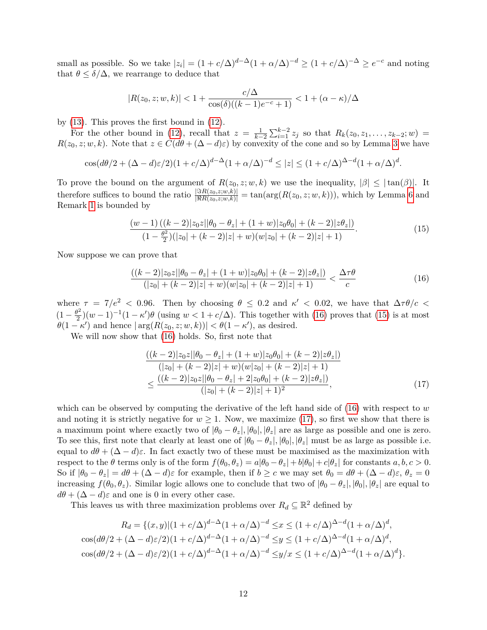small as possible. So we take  $|z_i| = (1 + c/\Delta)^{d-\Delta}(1 + \alpha/\Delta)^{-d} \ge (1 + c/\Delta)^{-\Delta} \ge e^{-c}$  and noting that  $\theta \leq \delta/\Delta$ , we rearrange to deduce that

$$
|R(z_0, z; w, k)| < 1 + \frac{c/\Delta}{\cos(\delta)((k-1)e^{-c} + 1)} < 1 + (\alpha - \kappa)/\Delta
$$

by [\(13\)](#page-11-3). This proves the first bound in [\(12\)](#page-11-4).

For the other bound in [\(12\)](#page-11-4), recall that  $z = \frac{1}{k-2} \sum_{i=1}^{k-2} z_i$  so that  $R_k(z_0, z_1, \ldots, z_{k-2}; w) =$  $R(z_0, z; w, k)$ . Note that  $z \in C(d\theta + (\Delta - d)\varepsilon)$  by convexity of the cone and so by Lemma [3](#page-7-1) we have

$$
\cos\left(\frac{d\theta}{2} + (\Delta - d)\varepsilon/2\right)(1 + c/\Delta)^{d-\Delta}(1 + \alpha/\Delta)^{-d} \leq |z| \leq (1 + c/\Delta)^{\Delta - d}(1 + \alpha/\Delta)^{d}.
$$

To prove the bound on the argument of  $R(z_0, z; w, k)$  we use the inequality,  $|\beta| \leq |\tan(\beta)|$ . It therefore suffices to bound the ratio  $\frac{\Re R(z_0, z; w, k)}{\Re R(z_0, z; w, k)}$  = tan( $\arg(R(z_0, z; w, k))$ ), which by Lemma [6](#page-10-5) and Remark [1](#page-10-6) is bounded by

<span id="page-12-1"></span>
$$
\frac{(w-1)\left((k-2)|z_0z||\theta_0-\theta_z|+(1+w)|z_0\theta_0|+(k-2)|z\theta_z|\right)}{(1-\frac{\theta^2}{2})(|z_0|+(k-2)|z|+w)(w|z_0|+(k-2)|z|+1)}.\tag{15}
$$

Now suppose we can prove that

<span id="page-12-0"></span>
$$
\frac{((k-2)|z_0z||\theta_0 - \theta_z| + (1+w)|z_0\theta_0| + (k-2)|z\theta_z|)}{(|z_0| + (k-2)|z| + w)(w|z_0| + (k-2)|z| + 1)} < \frac{\Delta\tau\theta}{c} \tag{16}
$$

where  $\tau = 7/e^2 < 0.96$ . Then by choosing  $\theta \leq 0.2$  and  $\kappa' < 0.02$ , we have that  $\Delta \tau \theta/c <$  $\left(1-\frac{\theta^2}{2}\right)$  $\frac{2^2}{2}(w-1)^{-1}(1-\kappa')\theta$  (using  $w<1+c/\Delta$ ). This together with [\(16\)](#page-12-0) proves that [\(15\)](#page-12-1) is at most  $\theta(1 - \kappa')$  and hence  $|\arg(R(z_0, z; w, k))| < \theta(1 - \kappa')$ , as desired.

We will now show that [\(16\)](#page-12-0) holds. So, first note that

<span id="page-12-2"></span>
$$
\frac{((k-2)|z_0z||\theta_0 - \theta_z| + (1+w)|z_0\theta_0| + (k-2)|z\theta_z|)}{(|z_0| + (k-2)|z| + w)(w|z_0| + (k-2)|z| + 1)}\n\leq \frac{((k-2)|z_0z||\theta_0 - \theta_z| + 2|z_0\theta_0| + (k-2)|z\theta_z|)}{(|z_0| + (k-2)|z| + 1)^2},
$$
\n(17)

which can be observed by computing the derivative of the left hand side of [\(16\)](#page-12-0) with respect to *w* and noting it is strictly negative for  $w \geq 1$ . Now, we maximize [\(17\)](#page-12-2), so first we show that there is a maximum point where exactly two of  $|\theta_0 - \theta_z|, |\theta_0|, |\theta_z|$  are as large as possible and one is zero. To see this, first note that clearly at least one of  $|\theta_0 - \theta_z|, |\theta_0|, |\theta_z|$  must be as large as possible i.e. equal to  $d\theta + (\Delta - d)\varepsilon$ . In fact exactly two of these must be maximised as the maximization with respect to the  $\theta$  terms only is of the form  $f(\theta_0, \theta_z) = a|\theta_0 - \theta_z| + b|\theta_0| + c|\theta_z|$  for constants  $a, b, c > 0$ . So if  $|\theta_0 - \theta_z| = d\theta + (\Delta - d)\varepsilon$  for example, then if  $b \ge c$  we may set  $\theta_0 = d\theta + (\Delta - d)\varepsilon$ ,  $\theta_z = 0$ increasing  $f(\theta_0, \theta_z)$ . Similar logic allows one to conclude that two of  $|\theta_0 - \theta_z|, |\theta_0|, |\theta_z|$  are equal to  $d\theta + (\Delta - d)\varepsilon$  and one is 0 in every other case.

This leaves us with three maximization problems over  $R_d \subseteq \mathbb{R}^2$  defined by

$$
R_d = \{(x, y) | (1 + c/\Delta)^{d-\Delta} (1 + \alpha/\Delta)^{-d} \le x \le (1 + c/\Delta)^{\Delta - d} (1 + \alpha/\Delta)^d,
$$
  
\n
$$
\cos(d\theta/2 + (\Delta - d)\varepsilon/2)(1 + c/\Delta)^{d-\Delta} (1 + \alpha/\Delta)^{-d} \le y \le (1 + c/\Delta)^{\Delta - d} (1 + \alpha/\Delta)^d,
$$
  
\n
$$
\cos(d\theta/2 + (\Delta - d)\varepsilon/2)(1 + c/\Delta)^{d-\Delta} (1 + \alpha/\Delta)^{-d} \le y/x \le (1 + c/\Delta)^{\Delta - d} (1 + \alpha/\Delta)^d\}.
$$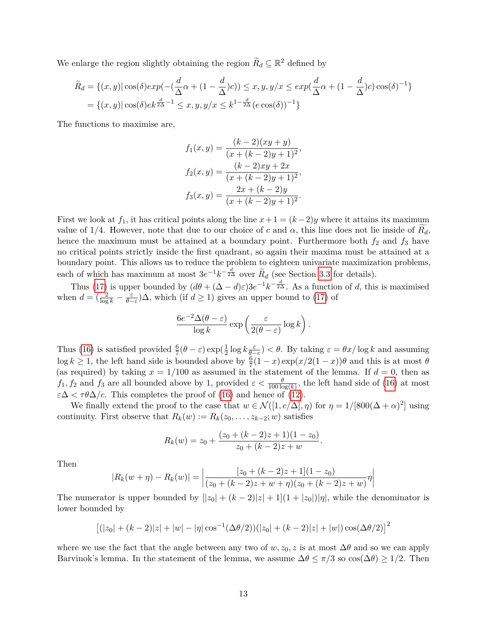We enlarge the region slightly obtaining the region  $\widetilde{R}_d \subseteq \mathbb{R}^2$  defined by

$$
\widetilde{R}_d = \{(x, y) | \cos(\delta) exp(-\left(\frac{d}{\Delta}\alpha + (1 - \frac{d}{\Delta})c\right)) \le x, y, y/x \le exp(\frac{d}{\Delta}\alpha + (1 - \frac{d}{\Delta})c) \cos(\delta)^{-1}\}\
$$
\n
$$
= \{(x, y) | \cos(\delta) ek^{\frac{d}{2\Delta} - 1} \le x, y, y/x \le k^{1 - \frac{d}{2\Delta}}(e \cos(\delta))^{-1}\}
$$

The functions to maximise are,

$$
f_1(x, y) = \frac{(k-2)(xy + y)}{(x + (k-2)y + 1)^2},
$$

$$
f_2(x, y) = \frac{(k-2)xy + 2x}{(x + (k-2)y + 1)^2},
$$

$$
f_3(x, y) = \frac{2x + (k-2)y}{(x + (k-2)y + 1)^2}.
$$

First we look at  $f_1$ , it has critical points along the line  $x + 1 = (k-2)y$  where it attains its maximum value of 1/4. However, note that due to our choice of c and  $\alpha$ , this line does not lie inside of  $R_d$ , hence the maximum must be attained at a boundary point. Furthermore both  $f_2$  and  $f_3$  have no critical points strictly inside the first quadrant, so again their maxima must be attained at a boundary point. This allows us to reduce the problem to eighteen univariate maximization problems, each of which has maximum at most  $3e^{-1}k^{-\frac{d}{2\Delta}}$  over  $\widetilde{R}_d$  (see Section [3.3](#page-14-0) for details).

Thus [\(17\)](#page-12-2) is upper bounded by  $(d\theta + (\Delta - d)\varepsilon)3e^{-1}k^{-\frac{d}{2\Delta}}$ . As a function of *d*, this is maximised when  $d = (\frac{2}{\log k} - \frac{\varepsilon}{\theta - \varepsilon})\Delta$ , which (if  $d \ge 1$ ) gives an upper bound to [\(17\)](#page-12-2) of

$$
\frac{6e^{-2}\Delta(\theta-\varepsilon)}{\log k}\exp\left(\frac{\varepsilon}{2(\theta-\varepsilon)}\log k\right).
$$

Thus [\(16\)](#page-12-0) is satisfied provided  $\frac{6}{7}(\theta - \varepsilon) \exp(\frac{1}{2})$  $\frac{1}{2}\log k \frac{\varepsilon}{\theta-\varepsilon}$   $\leq \theta$ . By taking  $\varepsilon = \theta x/\log k$  and assuming  $\log k \ge 1$ , the left hand side is bounded above by  $\frac{6}{7}(1-x)\exp(x/2(1-x))\theta$  and this is at most  $\theta$ (as required) by taking  $x = 1/100$  as assumed in the statement of the lemma. If  $d = 0$ , then as  $f_1, f_2$  and  $f_3$  are all bounded above by 1, provided  $\varepsilon < \frac{\theta}{100 \log(k)}$ , the left hand side of [\(16\)](#page-12-0) at most  $\varepsilon\Delta < \tau\theta\Delta/c$ . This completes the proof of [\(16\)](#page-12-0) and hence of [\(12\)](#page-11-4).

We finally extend the proof to the case that  $w \in \mathcal{N}([1, c/\Delta], \eta)$  for  $\eta = 1/[800(\Delta + \alpha)^2]$  using continuity. First observe that  $R_k(w) := R_k(z_0, \ldots, z_{k-2}; w)$  satisfies

$$
R_k(w) = z_0 + \frac{(z_0 + (k-2)z + 1)(1 - z_0)}{z_0 + (k-2)z + w}.
$$

Then

$$
|R_k(w + \eta) - R_k(w)| = \left| \frac{[z_0 + (k-2)z + 1](1 - z_0)}{(z_0 + (k-2)z + w + \eta)(z_0 + (k-2)z + w)} \eta \right|
$$

The numerator is upper bounded by  $[|z_0| + (k-2)|z| + 1](1+|z_0|)|\eta|$ , while the denominator is lower bounded by

$$
[(|z_0| + (k-2)|z| + |w| - |\eta|\cos^{-1}(\Delta\theta/2))(|z_0| + (k-2)|z| + |w|)\cos(\Delta\theta/2)]^2
$$

where we use the fact that the angle between any two of  $w, z_0, z$  is at most  $\Delta\theta$  and so we can apply Barvinok's lemma. In the statement of the lemma, we assume  $\Delta\theta \leq \pi/3$  so  $\cos(\Delta\theta) \geq 1/2$ . Then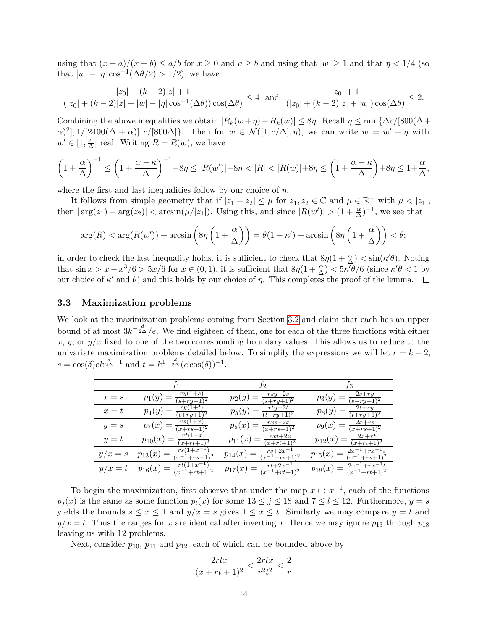using that  $(x + a)/(x + b) \le a/b$  for  $x \ge 0$  and  $a \ge b$  and using that  $|w| \ge 1$  and that  $\eta < 1/4$  (so that  $|w| - |\eta| \cos^{-1}(\Delta \theta/2) > 1/2$ , we have

$$
\frac{|z_0| + (k-2)|z| + 1}{(|z_0| + (k-2)|z| + |w| - |\eta|\cos^{-1}(\Delta\theta))\cos(\Delta\theta)} \le 4 \text{ and } \frac{|z_0| + 1}{(|z_0| + (k-2)|z| + |w|)\cos(\Delta\theta)} \le 2.
$$

Combining the above inequalities we obtain  $|R_k(w + \eta) - R_k(w)| \leq 8\eta$ . Recall  $\eta \leq \min\{\Delta c / [800(\Delta +$  $\alpha$ <sup>2</sup>, 1/[2400( $\Delta + \alpha$ )], *c*/[800 $\Delta$ ]}. Then for  $w \in \mathcal{N}([1, c/\Delta], \eta)$ , we can write  $w = w' + \eta$  with  $w' \in [1, \frac{c}{\Delta}]$  $\frac{c}{\Delta}$  real. Writing  $R = R(w)$ , we have

$$
\left(1+\frac{\alpha}{\Delta}\right)^{-1} \le \left(1+\frac{\alpha-\kappa}{\Delta}\right)^{-1} - 8\eta \le |R(w')|-8\eta < |R| < |R(w)|+8\eta \le \left(1+\frac{\alpha-\kappa}{\Delta}\right)+8\eta \le 1+\frac{\alpha}{\Delta},
$$

where the first and last inequalities follow by our choice of *η*.

It follows from simple geometry that if  $|z_1 - z_2| \leq \mu$  for  $z_1, z_2 \in \mathbb{C}$  and  $\mu \in \mathbb{R}^+$  with  $\mu < |z_1|$ , then  $|\arg(z_1) - \arg(z_2)| < \arcsin(\mu/|z_1|)$ . Using this, and since  $|R(w')| > (1 + \frac{\alpha}{\Delta})^{-1}$ , we see that

$$
\arg(R) < \arg(R(w')) + \arcsin\left(8\eta\left(1 + \frac{\alpha}{\Delta}\right)\right) = \theta(1 - \kappa') + \arcsin\left(8\eta\left(1 + \frac{\alpha}{\Delta}\right)\right) < \theta;
$$

in order to check the last inequality holds, it is sufficient to check that  $8\eta(1+\frac{\alpha}{\Delta}) < \sin(\kappa'\theta)$ . Noting that  $\sin x > x - x^3/6 > 5x/6$  for  $x \in (0,1)$ , it is sufficient that  $8\eta(1+\frac{\alpha}{\Delta}) < 5\kappa^7\theta/6$  (since  $\kappa^7\theta < 1$  by our choice of  $\kappa'$  and  $\theta$ ) and this holds by our choice of  $\eta$ . This completes the proof of the lemma.

#### <span id="page-14-0"></span>**3.3 Maximization problems**

We look at the maximization problems coming from Section [3.2](#page-10-7) and claim that each has an upper bound of at most  $3k^{-\frac{d}{2\Delta}}/e$ . We find eighteen of them, one for each of the three functions with either x, y, or  $y/x$  fixed to one of the two corresponding boundary values. This allows us to reduce to the univariate maximization problems detailed below. To simplify the expressions we will let  $r = k - 2$ ,  $s = \cos(\delta) e k^{\frac{d}{2\Delta} - 1}$  and  $t = k^{1 - \frac{d}{2\Delta}} (e \cos(\delta))^{-1}$ .

|           | .J 1                                                            | J2                                                                                        | JЗ                                                                             |  |
|-----------|-----------------------------------------------------------------|-------------------------------------------------------------------------------------------|--------------------------------------------------------------------------------|--|
| $x = s$   | $ry(1+s)$<br>$p_1(y)$<br>$(\frac{s+ry+1}{2})^2$                 | $rsy+2s$<br>$p_2(y)$<br>$(s+ry+1)^2$                                                      | $2s+ry$<br>$p_3(y)$<br>$(s+ry+1)^2$                                            |  |
| $x=t$     | $ry(1+t)$<br>$p_4(y)$<br>$(t+ry+1)^2$                           | $rty + 2t$<br>$p_5(y)$<br>$(t + ry + 1)^2$                                                | $2t+ry$<br>$p_6(y)$<br>$=$<br>$(t+ry+1)^2$                                     |  |
| $y = s$   | $rs(1+x)$<br>$p_7(x)$<br>$(x + rs + 1)^2$                       | $rxs+2x$<br>$p_8(x)$<br>$(x + rs + 1)^2$                                                  | $2x + rs$<br>$p_9(x)$<br>$(x + rs + 1)^2$                                      |  |
| $y=t$     | $rt(1+x)$<br>$p_{10}(x)$<br>$\frac{(x+r\overline{t+1})^2}{}$    | $rxt + 2x$<br>$p_{11}(x)$<br>$\frac{x+r\overline{t+1})^2}{(x+r\overline{t+1})^2}$         | $2x+rt$<br>$p_{12}(x)$<br>$x + rt + 1)^2$                                      |  |
| $y/x = s$ | $rs(1+x^{-1})$<br>$p_{13}(x)$<br>$+r s+1)^2$<br>$x^-$           | $rs + 2x^{-1}$<br>$p_{14}(x)$<br>$(x^{-1}+rs+1)^2$                                        | $^{-1}$<br>2x<br>$x^{-1}+rx^{-1}$<br>$p_{15}(x)$<br>$x^{-1}$ $\sqrt{r(s+1)^2}$ |  |
| $y/x =$   | $rt(1+x^{-1})$<br>$p_{16}(x)$<br>$+rt\overline{+1)^2}$<br>$x^-$ | $\frac{rt+2}{r}x^{-1}$<br>$p_{17}(x)$<br>$+r t + \overline{1}$ <sup>2</sup><br>$(x^{-1})$ | 2x<br>$-1+$<br>$+rx^{-}$<br>$p_{18}(x)$<br>$+rt+1)^2$<br>$(x^{-1})$            |  |

To begin the maximization, first observe that under the map  $x \mapsto x^{-1}$ , each of the functions  $p_j(x)$  is the same as some function  $p_l(x)$  for some  $13 \leq j \leq 18$  and  $7 \leq l \leq 12$ . Furthermore,  $y = s$ yields the bounds  $s \leq x \leq 1$  and  $y/x = s$  gives  $1 \leq x \leq t$ . Similarly we may compare  $y = t$  and  $y/x = t$ . Thus the ranges for *x* are identical after inverting *x*. Hence we may ignore  $p_{13}$  through  $p_{18}$ leaving us with 12 problems.

Next, consider  $p_{10}$ ,  $p_{11}$  and  $p_{12}$ , each of which can be bounded above by

$$
\frac{2rtx}{(x+rt+1)^2} \le \frac{2rtx}{r^2t^2} \le \frac{2}{r}
$$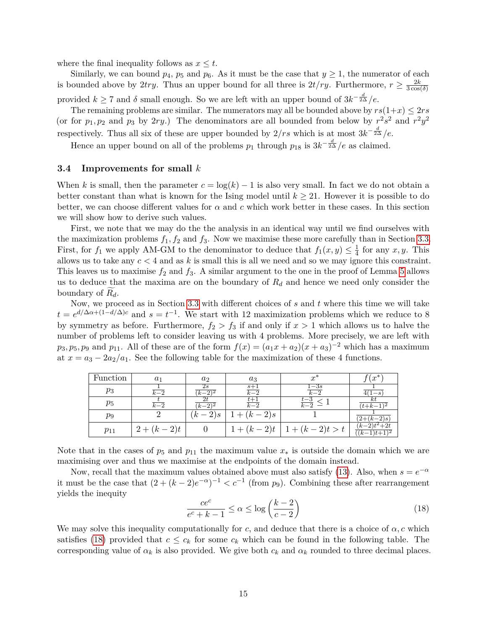where the final inequality follows as  $x \leq t$ .

Similarly, we can bound  $p_4$ ,  $p_5$  and  $p_6$ . As it must be the case that  $y \ge 1$ , the numerator of each is bounded above by 2*try*. Thus an upper bound for all three is  $2t/ry$ . Furthermore,  $r \geq \frac{2k}{3\cos\theta}$  $3\cos(\delta)$ provided  $k \geq 7$  and  $\delta$  small enough. So we are left with an upper bound of  $3k^{-\frac{d}{2\Delta}}/e$ .

The remaining problems are similar. The numerators may all be bounded above by  $rs(1+x) \leq 2rs$ (or for  $p_1, p_2$  and  $p_3$  by 2*ry*.) The denominators are all bounded from below by  $r^2s^2$  and  $r^2y^2$ respectively. Thus all six of these are upper bounded by  $2(rs \text{ which is at most } 3k^{-\frac{d}{2\Delta}}/e$ .

Hence an upper bound on all of the problems  $p_1$  through  $p_{18}$  is  $3k^{-\frac{d}{2\Delta}}/e$  as claimed.

### **3.4 Improvements for small** *k*

When *k* is small, then the parameter  $c = \log(k) - 1$  is also very small. In fact we do not obtain a better constant than what is known for the Ising model until  $k \geq 21$ . However it is possible to do better, we can choose different values for  $\alpha$  and  $c$  which work better in these cases. In this section we will show how to derive such values.

First, we note that we may do the the analysis in an identical way until we find ourselves with the maximization problems  $f_1, f_2$  and  $f_3$ . Now we maximise these more carefully than in Section [3.3.](#page-14-0) First, for  $f_1$  we apply AM-GM to the denominator to deduce that  $f_1(x, y) \leq \frac{1}{4}$  $\frac{1}{4}$  for any  $x, y$ . This allows us to take any  $c < 4$  and as  $k$  is small this is all we need and so we may ignore this constraint. This leaves us to maximise  $f_2$  and  $f_3$ . A similar argument to the one in the proof of Lemma [5](#page-7-0) allows us to deduce that the maxima are on the boundary of *R<sup>d</sup>* and hence we need only consider the boundary of  $R_d$ .

Now, we proceed as in Section [3.3](#page-14-0) with different choices of *s* and *t* where this time we will take  $t = e^{d/\Delta \alpha + (1 - d/\Delta)c}$  and  $s = t^{-1}$ . We start with 12 maximization problems which we reduce to 8 by symmetry as before. Furthermore,  $f_2 > f_3$  if and only if  $x > 1$  which allows us to halve the number of problems left to consider leaving us with 4 problems. More precisely, we are left with  $p_3, p_5, p_9$  and  $p_{11}$ . All of these are of the form  $f(x) = (a_1x + a_2)(x + a_3)^{-2}$  which has a maximum at  $x = a_3 - 2a_2/a_1$ . See the following table for the maximization of these 4 functions.

| Function | $a_1$<br>$a_2$   |                    | $a_3$                     | $x^*$              | $(x^*)$            |
|----------|------------------|--------------------|---------------------------|--------------------|--------------------|
| $p_3$    | $k-2$            | 2s<br>$(k-2)^2$    | $s+1$<br>$\overline{k-2}$ | $_{1-3s}$<br>$k-2$ |                    |
| $p_5$    | $\overline{k-2}$ | 2t<br>$(k-2)^2$    | $rac{t+1}{k-2}$           |                    | $t+k-1$            |
| $p_9$    |                  | $2)$ s<br>$\kappa$ | $(k-2)s$                  |                    | $(k-2)s$           |
| $p_{11}$ | $2 + (k-2)t$     |                    | $1 + (k-2)t$              | $+(k-2)t > t$      | $^{2}+2t$<br>$k-1$ |

Note that in the cases of  $p_5$  and  $p_{11}$  the maximum value  $x_*$  is outside the domain which we are maximising over and thus we maximise at the endpoints of the domain instead.

Now, recall that the maximum values obtained above must also satisfy [\(13\)](#page-11-3). Also, when  $s = e^{-\alpha}$ it must be the case that  $(2 + (k-2)e^{-\alpha})^{-1} < c^{-1}$  (from  $p_9$ ). Combining these after rearrangement yields the inequity

<span id="page-15-0"></span>
$$
\frac{ce^c}{e^c + k - 1} \le \alpha \le \log\left(\frac{k - 2}{c - 2}\right)
$$
\n(18)

We may solve this inequality computationally for  $c$ , and deduce that there is a choice of  $\alpha$ , c which satisfies [\(18\)](#page-15-0) provided that  $c \leq c_k$  for some  $c_k$  which can be found in the following table. The corresponding value of  $\alpha_k$  is also provided. We give both  $c_k$  and  $\alpha_k$  rounded to three decimal places.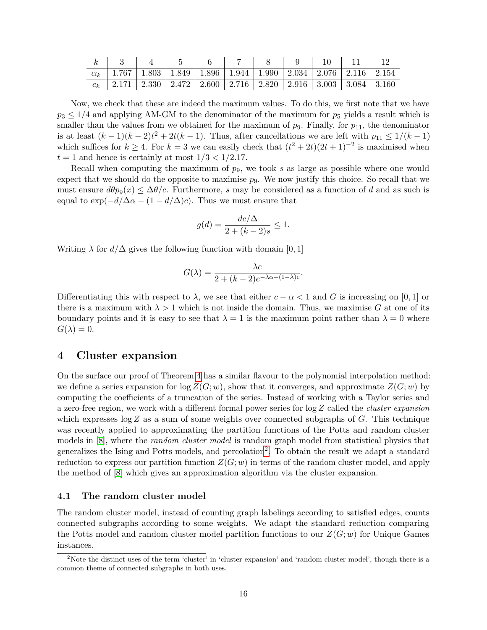| $k \parallel 3$                                                                            |  | 14 5 6 7 8 |  |  |  |
|--------------------------------------------------------------------------------------------|--|------------|--|--|--|
| $\alpha_k$   1.767   1.803   1.849   1.896   1.944   1.990   2.034   2.076   2.116   2.154 |  |            |  |  |  |
| $c_k$   2.171   2.330   2.472   2.600   2.716   2.820   2.916   3.003   3.084   3.160      |  |            |  |  |  |

Now, we check that these are indeed the maximum values. To do this, we first note that we have  $p_3 \leq 1/4$  and applying AM-GM to the denominator of the maximum for  $p_5$  yields a result which is smaller than the values from we obtained for the maximum of  $p_9$ . Finally, for  $p_{11}$ , the denominator is at least  $(k-1)(k-2)t^2 + 2t(k-1)$ . Thus, after cancellations we are left with  $p_{11} \le 1/(k-1)$ which suffices for  $k \geq 4$ . For  $k = 3$  we can easily check that  $(t^2 + 2t)(2t + 1)^{-2}$  is maximised when  $t = 1$  and hence is certainly at most  $1/3 < 1/2.17$ .

Recall when computing the maximum of *p*9, we took *s* as large as possible where one would expect that we should do the opposite to maximise *p*9. We now justify this choice. So recall that we must ensure  $d\theta p_9(x) \leq \Delta\theta/c$ . Furthermore, *s* may be considered as a function of *d* and as such is equal to  $\exp(-d/\Delta\alpha - (1 - d/\Delta)c)$ . Thus we must ensure that

$$
g(d) = \frac{dc/\Delta}{2 + (k - 2)s} \le 1.
$$

Writing  $\lambda$  for  $d/\Delta$  gives the following function with domain [0, 1]

$$
G(\lambda) = \frac{\lambda c}{2 + (k - 2)e^{-\lambda \alpha - (1 - \lambda)c}}
$$

*.*

Differentiating this with respect to  $\lambda$ , we see that either  $c - \alpha < 1$  and G is increasing on [0, 1] or there is a maximum with  $\lambda > 1$  which is not inside the domain. Thus, we maximise G at one of its boundary points and it is easy to see that  $\lambda = 1$  is the maximum point rather than  $\lambda = 0$  where  $G(\lambda) = 0.$ 

### <span id="page-16-0"></span>**4 Cluster expansion**

On the surface our proof of Theorem [4](#page-4-2) has a similar flavour to the polynomial interpolation method: we define a series expansion for  $\log Z(G; w)$ , show that it converges, and approximate  $Z(G; w)$  by computing the coefficients of a truncation of the series. Instead of working with a Taylor series and a zero-free region, we work with a different formal power series for log *Z* called the *cluster expansion* which expresses log *Z* as a sum of some weights over connected subgraphs of *G*. This technique was recently applied to approximating the partition functions of the Potts and random cluster models in [\[8\]](#page-24-4), where the *random cluster model* is random graph model from statistical physics that generalizes the Ising and Potts models, and percolation<sup>[2](#page-16-1)</sup>. To obtain the result we adapt a standard reduction to express our partition function  $Z(G; w)$  in terms of the random cluster model, and apply the method of [\[8\]](#page-24-4) which gives an approximation algorithm via the cluster expansion.

#### **4.1 The random cluster model**

The random cluster model, instead of counting graph labelings according to satisfied edges, counts connected subgraphs according to some weights. We adapt the standard reduction comparing the Potts model and random cluster model partition functions to our  $Z(G; w)$  for Unique Games instances.

<span id="page-16-1"></span><sup>&</sup>lt;sup>2</sup>Note the distinct uses of the term 'cluster' in 'cluster expansion' and 'random cluster model', though there is a common theme of connected subgraphs in both uses.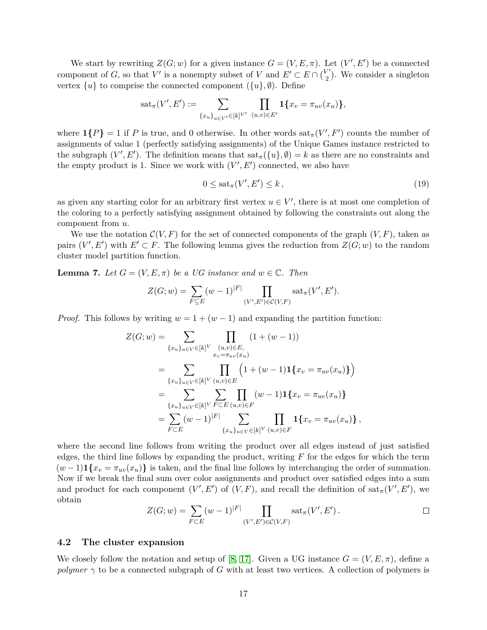We start by rewriting  $Z(G; w)$  for a given instance  $G = (V, E, \pi)$ . Let  $(V', E')$  be a connected component of *G*, so that *V*' is a nonempty subset of *V* and  $E' \subset E \cap {V' \choose 2}$  $\binom{1}{2}$ . We consider a singleton vertex  $\{u\}$  to comprise the connected component  $(\{u\}, \emptyset)$ . Define

$$
\text{sat}_{\pi}(V', E') := \sum_{\{x_u\}_{u \in V'} \in [k]^{V'}} \prod_{(u,v) \in E'} \mathbf{1} \{x_v = \pi_{uv}(x_u)\},
$$

where  $1\{P\} = 1$  if *P* is true, and 0 otherwise. In other words  $\text{sat}_{\pi}(V', F')$  counts the number of assignments of value 1 (perfectly satisfying assignments) of the Unique Games instance restricted to the subgraph  $(V', E')$ . The definition means that  $\text{sat}_{\pi}(\{u\}, \emptyset) = k$  as there are no constraints and the empty product is 1. Since we work with  $(V', E')$  connected, we also have

<span id="page-17-1"></span>
$$
0 \le \text{sat}_{\pi}(V', E') \le k \,,\tag{19}
$$

as given any starting color for an arbitrary first vertex  $u \in V'$ , there is at most one completion of the coloring to a perfectly satisfying assignment obtained by following the constraints out along the component from *u*.

We use the notation  $\mathcal{C}(V, F)$  for the set of connected components of the graph  $(V, F)$ , taken as pairs  $(V', E')$  with  $E' \subset F$ . The following lemma gives the reduction from  $Z(G; w)$  to the random cluster model partition function.

<span id="page-17-0"></span>**Lemma 7.** *Let*  $G = (V, E, \pi)$  *be a UG instance and*  $w \in \mathbb{C}$ *. Then* 

$$
Z(G; w) = \sum_{F \subseteq E} (w - 1)^{|F|} \prod_{(V', E') \in \mathcal{C}(V, F)} \text{sat}_{\pi}(V', E').
$$

*Proof.* This follows by writing  $w = 1 + (w - 1)$  and expanding the partition function:

$$
Z(G; w) = \sum_{\{x_u\}_{u \in V} \in [k]^V} \prod_{(u,v) \in E, \atop x_v = \pi_{uv}(x_u)} (1 + (w - 1))
$$
  
\n
$$
= \sum_{\{x_u\}_{u \in V} \in [k]^V} \prod_{(u,v) \in E} (1 + (w - 1) \mathbf{1} \{x_v = \pi_{uv}(x_u)\})
$$
  
\n
$$
= \sum_{\{x_u\}_{u \in V} \in [k]^V} \sum_{F \subset E} \prod_{(u,v) \in F} (w - 1) \mathbf{1} \{x_v = \pi_{uv}(x_u)\}
$$
  
\n
$$
= \sum_{F \subset E} (w - 1)^{|F|} \sum_{\{x_u\}_{u \in V} \in [k]^V} \prod_{(u,v) \in F} \mathbf{1} \{x_v = \pi_{uv}(x_u)\},
$$

where the second line follows from writing the product over all edges instead of just satisfied edges, the third line follows by expanding the product, writing *F* for the edges for which the term  $(w-1)$ **1** $\{x_v = \pi_{uv}(x_u)\}$  is taken, and the final line follows by interchanging the order of summation. Now if we break the final sum over color assignments and product over satisfied edges into a sum and product for each component  $(V', E')$  of  $(V, F)$ , and recall the definition of  $\text{sat}_{\pi}(V', E')$ , we obtain

$$
Z(G; w) = \sum_{F \subset E} (w - 1)^{|F|} \prod_{(V', E') \in \mathcal{C}(V, F)} \text{sat}_{\pi}(V', E') . \qquad \Box
$$

### **4.2 The cluster expansion**

We closely follow the notation and setup of [\[8,](#page-24-4) [17\]](#page-25-6). Given a UG instance  $G = (V, E, \pi)$ , define a *polymer*  $\gamma$  to be a connected subgraph of *G* with at least two vertices. A collection of polymers is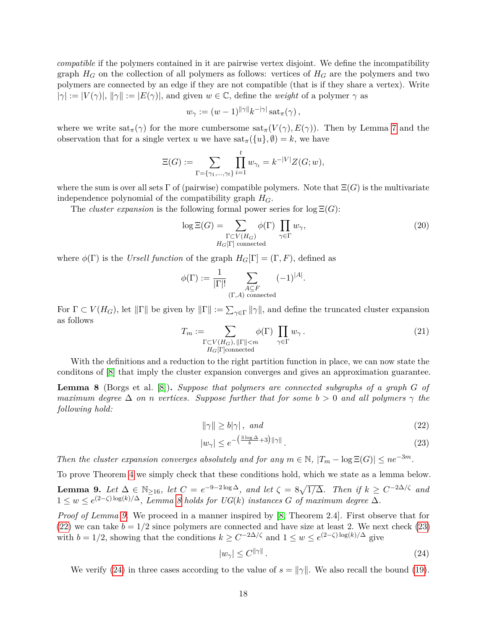*compatible* if the polymers contained in it are pairwise vertex disjoint. We define the incompatibility graph  $H_G$  on the collection of all polymers as follows: vertices of  $H_G$  are the polymers and two polymers are connected by an edge if they are not compatible (that is if they share a vertex). Write  $|\gamma| := |V(\gamma)|$ ,  $\|\gamma\| := |E(\gamma)|$ , and given  $w \in \mathbb{C}$ , define the *weight* of a polymer  $\gamma$  as

$$
w_{\gamma} := (w-1)^{||\gamma||} k^{-|\gamma|} \operatorname{sat}_{\pi}(\gamma) ,
$$

where we write  $\text{sat}_{\pi}(\gamma)$  for the more cumbersome  $\text{sat}_{\pi}(V(\gamma), E(\gamma))$ . Then by Lemma [7](#page-17-0) and the observation that for a single vertex *u* we have  $\text{sat}_{\pi}(\{u\}, \emptyset) = k$ , we have

$$
\Xi(G) := \sum_{\Gamma = \{\gamma_1, ..., \gamma_t\}} \prod_{i=1}^t w_{\gamma_i} = k^{-|V|} Z(G; w),
$$

where the sum is over all sets  $\Gamma$  of (pairwise) compatible polymers. Note that  $\Xi(G)$  is the multivariate independence polynomial of the compatibility graph *HG*.

The *cluster expansion* is the following formal power series for  $log \Xi(G)$ :

$$
\log \Xi(G) = \sum_{\substack{\Gamma \subset V(H_G) \\ H_G[\Gamma] \text{ connected}}} \phi(\Gamma) \prod_{\gamma \in \Gamma} w_{\gamma},\tag{20}
$$

where  $\phi(\Gamma)$  is the *Ursell function* of the graph  $H_G[\Gamma] = (\Gamma, F)$ , defined as

$$
\phi(\Gamma) := \frac{1}{|\Gamma|!} \sum_{\substack{A \subseteq F \\ (\Gamma, A) \text{ connected}}} (-1)^{|A|}.
$$

For  $\Gamma \subset V(H_G)$ , let  $\|\Gamma\|$  be given by  $\|\Gamma\| := \sum_{\gamma \in \Gamma} \|\gamma\|$ , and define the truncated cluster expansion as follows

$$
T_m := \sum_{\substack{\Gamma \subset V(H_G), \|\Gamma\| < m \\ H_G[\Gamma] \text{connected}}} \phi(\Gamma) \prod_{\gamma \in \Gamma} w_{\gamma} \,. \tag{21}
$$

With the definitions and a reduction to the right partition function in place, we can now state the conditons of [\[8\]](#page-24-4) that imply the cluster expansion converges and gives an approximation guarantee.

<span id="page-18-0"></span>**Lemma 8** (Borgs et al. [\[8\]](#page-24-4))**.** *Suppose that polymers are connected subgraphs of a graph G of maximum degree*  $\Delta$  *on n vertices. Suppose further that for some*  $b > 0$  *and all polymers*  $\gamma$  *the following hold:*

<span id="page-18-3"></span><span id="page-18-2"></span>
$$
\|\gamma\| \ge b|\gamma| \,,\ and \tag{22}
$$

$$
|w_{\gamma}| \le e^{-\left(\frac{3\log\Delta}{b} + 3\right) \|\gamma\|}.
$$
\n<sup>(23)</sup>

*Then the cluster expansion converges absolutely and for any*  $m \in \mathbb{N}$ ,  $|T_m - \log \Xi(G)| \leq ne^{-3m}$ .

<span id="page-18-1"></span>To prove Theorem [4](#page-4-2) we simply check that these conditions hold, which we state as a lemma below. **Lemma 9.** Let  $\Delta \in \mathbb{N}_{\geq 16}$ , let  $C = e^{-9-2\log \Delta}$ , and let  $\zeta = 8\sqrt{1/\Delta}$ . Then if  $k \geq C^{-2\Delta/\zeta}$  and  $1 \leq w \leq e^{(2-\zeta)\log(k)/\Delta}$ , Lemma [8](#page-18-0) holds for UG(k) instances G of maximum degree  $\Delta$ .

*Proof of Lemma [9.](#page-18-1)* We proceed in a manner inspired by [\[8,](#page-24-4) Theorem 2.4]. First observe that for [\(22\)](#page-18-2) we can take  $b = 1/2$  since polymers are connected and have size at least 2. We next check [\(23\)](#page-18-3) with  $b = 1/2$ , showing that the conditions  $k \geq C^{-2\Delta/\zeta}$  and  $1 \leq w \leq e^{(2-\zeta)\log(k)/\Delta}$  give

<span id="page-18-4"></span>
$$
|w_{\gamma}| \le C^{\|\gamma\|} \tag{24}
$$

We verify [\(24\)](#page-18-4) in three cases according to the value of  $s = ||\gamma||$ . We also recall the bound [\(19\)](#page-17-1).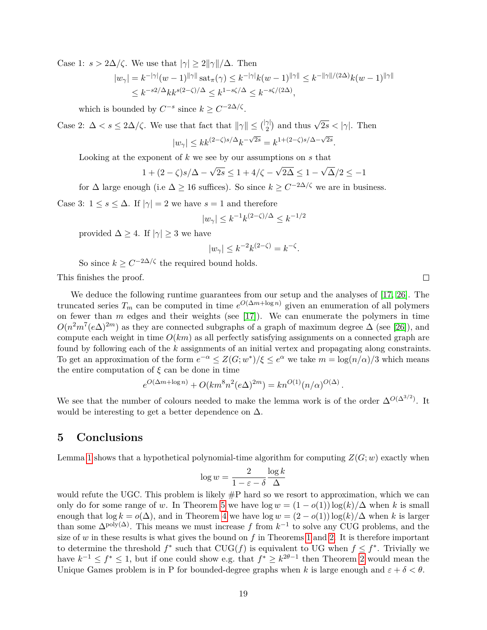Case 1:  $s > 2\Delta/\zeta$ . We use that  $|\gamma| \geq 2||\gamma||/\Delta$ . Then

$$
|w_{\gamma}| = k^{-|\gamma|} (w - 1)^{||\gamma||} \operatorname{sat}_{\pi}(\gamma) \le k^{-|\gamma|} k(w - 1)^{||\gamma||} \le k^{-||\gamma||/(2\Delta)} k(w - 1)^{||\gamma||}
$$
  

$$
\le k^{-s/2\Delta} k k^{s(2-\zeta)/\Delta} \le k^{1-s\zeta/\Delta} \le k^{-s\zeta/(2\Delta)},
$$

which is bounded by  $C^{-s}$  since  $k \geq C^{-2\Delta/\zeta}$ .

Case 2:  $\Delta < s \leq 2\Delta/\zeta$ . We use that fact that  $\|\gamma\| \leq {\frac{\gamma}{2}}$  $\gamma$ <sup>1</sup>) and thus  $\sqrt{2s} < |\gamma|$ . Then

$$
|w_\gamma| \leq kk^{(2-\zeta)s/\Delta}k^{-\sqrt{2s}} = k^{1+(2-\zeta)s/\Delta-\sqrt{2s}}.
$$

Looking at the exponent of *k* we see by our assumptions on *s* that

$$
1 + (2 - \zeta)s/\Delta - \sqrt{2s} \le 1 + 4/\zeta - \sqrt{2\Delta} \le 1 - \sqrt{\Delta}/2 \le -1
$$

for  $\Delta$  large enough (i.e  $\Delta \geq 16$  suffices). So since  $k \geq C^{-2\Delta/\zeta}$  we are in business.

Case 3:  $1 \leq s \leq \Delta$ . If  $|\gamma| = 2$  we have  $s = 1$  and therefore

$$
w_{\gamma}| \leq k^{-1}k^{(2-\zeta)/\Delta} \leq k^{-1/2}
$$

provided  $\Delta \geq 4$ . If  $|\gamma| \geq 3$  we have

$$
|w_{\gamma}| \le k^{-2}k^{(2-\zeta)} = k^{-\zeta}.
$$

So since  $k \geq C^{-2\Delta/\zeta}$  the required bound holds.

This finishes the proof.

We deduce the following runtime guarantees from our setup and the analyses of [\[17,](#page-25-6) [26\]](#page-25-4). The truncated series  $T_m$  can be computed in time  $e^{O(\Delta m + \log n)}$  given an enumeration of all polymers on fewer than *m* edges and their weights (see [\[17\]](#page-25-6)). We can enumerate the polymers in time  $O(n^2m^7(e\Delta)^{2m})$  as they are connected subgraphs of a graph of maximum degree  $\Delta$  (see [\[26\]](#page-25-4)), and compute each weight in time  $O(km)$  as all perfectly satisfying assignments on a connected graph are found by following each of the *k* assignments of an initial vertex and propagating along constraints. To get an approximation of the form  $e^{-\alpha} \leq Z(G; w^*)/\xi \leq e^{\alpha}$  we take  $m = \log(n/\alpha)/3$  which means the entire computation of  $\xi$  can be done in time

$$
e^{O(\Delta m + \log n)} + O(km^8n^2(e\Delta)^{2m}) = kn^{O(1)}(n/\alpha)^{O(\Delta)}
$$

*.*

We see that the number of colours needed to make the lemma work is of the order  $\Delta^{O(\Delta^{3/2})}$ . It would be interesting to get a better dependence on  $\Delta$ .

## <span id="page-19-0"></span>**5 Conclusions**

Lemma [1](#page-4-1) shows that a hypothetical polynomial-time algorithm for computing  $Z(G; w)$  exactly when

$$
\log w = \frac{2}{1 - \varepsilon - \delta} \frac{\log k}{\Delta}
$$

would refute the UGC. This problem is likely  $\#P$  hard so we resort to approximation, which we can only do for some range of *w*. In Theorem [5](#page-5-0) we have  $\log w = (1 - o(1)) \log(k)/\Delta$  when *k* is small enough that  $\log k = o(\Delta)$ , and in Theorem [4](#page-4-2) we have  $\log w = (2 - o(1)) \log(k)/\Delta$  when *k* is larger than some  $\Delta^{poly}(\Delta)$ . This means we must increase f from  $k^{-1}$  to solve any CUG problems, and the size of *w* in these results is what gives the bound on *f* in Theorems [1](#page-2-1) and [2.](#page-2-0) It is therefore important to determine the threshold  $f^*$  such that  $\text{CUG}(f)$  is equivalent to UG when  $f \leq f^*$ . Trivially we have  $k^{-1} \leq f^* \leq 1$ , but if one could show e.g. that  $f^* \geq k^{2\theta-1}$  then Theorem [2](#page-2-0) would mean the Unique Games problem is in P for bounded-degree graphs when *k* is large enough and  $\varepsilon + \delta < \theta$ .

 $\Box$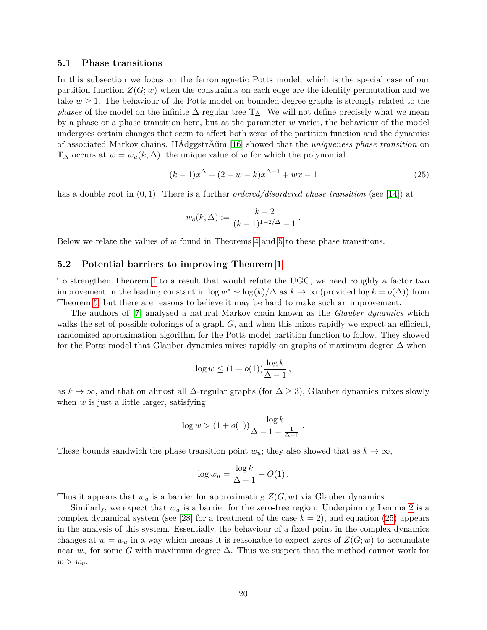#### **5.1 Phase transitions**

In this subsection we focus on the ferromagnetic Potts model, which is the special case of our partition function  $Z(G; w)$  when the constraints on each edge are the identity permutation and we take  $w \geq 1$ . The behaviour of the Potts model on bounded-degree graphs is strongly related to the *phases* of the model on the infinite  $\Delta$ -regular tree  $\mathbb{T}_{\Delta}$ . We will not define precisely what we mean by a phase or a phase transition here, but as the parameter *w* varies, the behaviour of the model undergoes certain changes that seem to affect both zeros of the partition function and the dynamics of associated Markov chains. HÃďggstrÃűm [\[16\]](#page-24-12) showed that the *uniqueness phase transition* on  $\mathbb{T}_{\Delta}$  occurs at  $w = w_u(k, \Delta)$ , the unique value of *w* for which the polynomial

<span id="page-20-0"></span>
$$
(k-1)x^{\Delta} + (2-w-k)x^{\Delta-1} + wx - 1
$$
\n(25)

*.*

has a double root in (0*,* 1). There is a further *ordered/disordered phase transition* (see [\[14\]](#page-24-13)) at

$$
w_o(k, \Delta) := \frac{k-2}{(k-1)^{1-2/\Delta} - 1}
$$

Below we relate the values of *w* found in Theorems [4](#page-4-2) and [5](#page-5-0) to these phase transitions.

#### **5.2 Potential barriers to improving Theorem [1](#page-2-1)**

To strengthen Theorem [1](#page-2-1) to a result that would refute the UGC, we need roughly a factor two improvement in the leading constant in  $\log w^* \sim \log(k)/\Delta$  as  $k \to \infty$  (provided  $\log k = o(\Delta)$ ) from Theorem [5,](#page-5-0) but there are reasons to believe it may be hard to make such an improvement.

The authors of [\[7\]](#page-24-14) analysed a natural Markov chain known as the *Glauber dynamics* which walks the set of possible colorings of a graph *G*, and when this mixes rapidly we expect an efficient, randomised approximation algorithm for the Potts model partition function to follow. They showed for the Potts model that Glauber dynamics mixes rapidly on graphs of maximum degree  $\Delta$  when

$$
\log w \le (1 + o(1)) \frac{\log k}{\Delta - 1},
$$

as  $k \to \infty$ , and that on almost all  $\Delta$ -regular graphs (for  $\Delta \geq 3$ ), Glauber dynamics mixes slowly when *w* is just a little larger, satisfying

$$
\log w > (1 + o(1)) \frac{\log k}{\Delta - 1 - \frac{1}{\Delta - 1}} \, .
$$

These bounds sandwich the phase transition point  $w_u$ ; they also showed that as  $k \to \infty$ ,

$$
\log w_u = \frac{\log k}{\Delta - 1} + O(1).
$$

Thus it appears that  $w_u$  is a barrier for approximating  $Z(G; w)$  via Glauber dynamics.

Similarly, we expect that *w<sup>u</sup>* is a barrier for the zero-free region. Underpinning Lemma [2](#page-6-3) is a complex dynamical system (see [\[28\]](#page-25-13) for a treatment of the case  $k = 2$ ), and equation [\(25\)](#page-20-0) appears in the analysis of this system. Essentially, the behaviour of a fixed point in the complex dynamics changes at  $w = w_u$  in a way which means it is reasonable to expect zeros of  $Z(G; w)$  to accumulate near  $w_u$  for some G with maximum degree  $\Delta$ . Thus we suspect that the method cannot work for  $w > w_u$ .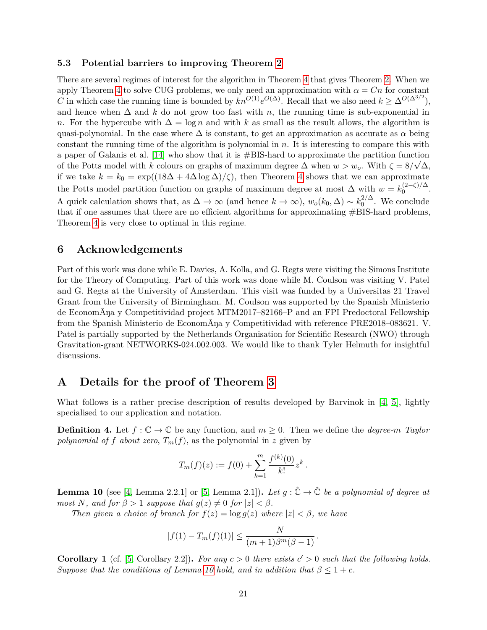#### **5.3 Potential barriers to improving Theorem [2](#page-2-0)**

There are several regimes of interest for the algorithm in Theorem [4](#page-4-2) that gives Theorem [2.](#page-2-0) When we apply Theorem [4](#page-4-2) to solve CUG problems, we only need an approximation with  $\alpha = Cn$  for constant *C* in which case the running time is bounded by  $kn^{O(1)}e^{O(\Delta)}$ . Recall that we also need  $k \geq \Delta^{O(\Delta^{3/2})}$ , and hence when  $\Delta$  and  $k$  do not grow too fast with  $n$ , the running time is sub-exponential in *n*. For the hypercube with  $\Delta = \log n$  and with *k* as small as the result allows, the algorithm is quasi-polynomial. In the case where  $\Delta$  is constant, to get an approximation as accurate as  $\alpha$  being constant the running time of the algorithm is polynomial in *n*. It is interesting to compare this with a paper of Galanis et al. [\[14\]](#page-24-13) who show that it is  $\# \text{BIS-hard to approximate the partition function}$ of the Potts model with *k* colours on graphs of maximum degree  $\Delta$  when  $w > w_o$ . With  $\zeta = 8/\sqrt{\Delta}$ , if we take  $k = k_0 = \exp((18\Delta + 4\Delta \log \Delta)/\zeta)$  $k = k_0 = \exp((18\Delta + 4\Delta \log \Delta)/\zeta)$  $k = k_0 = \exp((18\Delta + 4\Delta \log \Delta)/\zeta)$ , then Theorem 4 shows that we can approximate the Potts model partition function on graphs of maximum degree at most  $\Delta$  with  $w = k_0^{(2-\zeta)/\Delta}$  $0^{(2-\zeta)/\Delta}$ . A quick calculation shows that, as  $\Delta \to \infty$  (and hence  $k \to \infty$ ),  $w_o(k_0, \Delta) \sim k_0^{2/\Delta}$  $_0^{2/\Delta}$ . We conclude that if one assumes that there are no efficient algorithms for approximating #BIS-hard problems, Theorem [4](#page-4-2) is very close to optimal in this regime.

### **6 Acknowledgements**

Part of this work was done while E. Davies, A. Kolla, and G. Regts were visiting the Simons Institute for the Theory of Computing. Part of this work was done while M. Coulson was visiting V. Patel and G. Regts at the University of Amsterdam. This visit was funded by a Universitas 21 Travel Grant from the University of Birmingham. M. Coulson was supported by the Spanish Ministerio de EconomÃŋa y Competitividad project MTM2017–82166–P and an FPI Predoctoral Fellowship from the Spanish Ministerio de EconomÃŋa y Competitividad with reference PRE2018–083621. V. Patel is partially supported by the Netherlands Organisation for Scientific Research (NWO) through Gravitation-grant NETWORKS-024.002.003. We would like to thank Tyler Helmuth for insightful discussions.

### <span id="page-21-0"></span>**A Details for the proof of Theorem [3](#page-4-0)**

What follows is a rather precise description of results developed by Barvinok in [\[4,](#page-24-3) [5\]](#page-24-11), lightly specialised to our application and notation.

<span id="page-21-3"></span>**Definition 4.** Let  $f: \mathbb{C} \to \mathbb{C}$  be any function, and  $m \geq 0$ . Then we define the *degree-m Taylor polynomial of f about zero*,  $T_m(f)$ , as the polynomial in *z* given by

$$
T_m(f)(z) := f(0) + \sum_{k=1}^m \frac{f^{(k)}(0)}{k!} z^k.
$$

<span id="page-21-1"></span>**Lemma 10** (see [\[4,](#page-24-3) Lemma 2.2.1] or [\[5,](#page-24-11) Lemma 2.1]). Let  $g : \hat{\mathbb{C}} \to \hat{\mathbb{C}}$  be a polynomial of degree at *most N, and for*  $\beta > 1$  *suppose that*  $g(z) \neq 0$  *for*  $|z| < \beta$ *.* 

*Then given a choice of branch for*  $f(z) = \log g(z)$  *where*  $|z| < \beta$ *, we have* 

$$
|f(1) - T_m(f)(1)| \leq \frac{N}{(m+1)\beta^m(\beta-1)}.
$$

<span id="page-21-2"></span>**Corollary 1** (cf. [\[5,](#page-24-11) Corollary 2.2]). For any  $c > 0$  there exists  $c' > 0$  such that the following holds. *Suppose that the conditions of Lemma* [10](#page-21-1) *hold, and in addition that*  $\beta \leq 1 + c$ *.*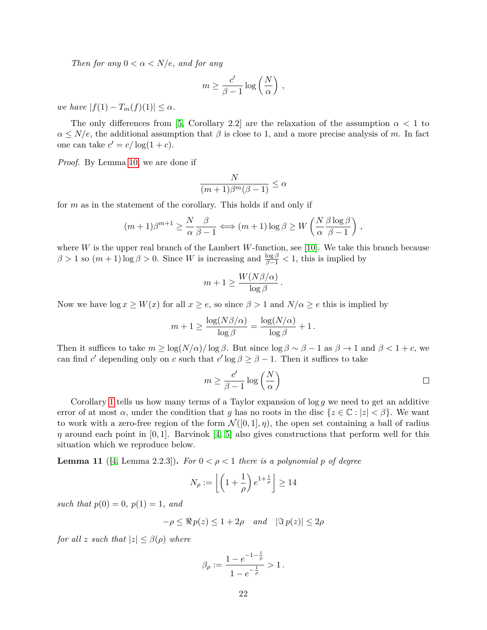*Then for any*  $0 < \alpha < N/e$ *, and for any* 

$$
m \ge \frac{c'}{\beta - 1} \log\left(\frac{N}{\alpha}\right) ,
$$

*we have*  $|f(1) - T_m(f)(1)| \leq \alpha$ *.* 

The only differences from [\[5,](#page-24-11) Corollary 2.2] are the relaxation of the assumption  $\alpha < 1$  to  $\alpha \leq N/e$ , the additional assumption that  $\beta$  is close to 1, and a more precise analysis of *m*. In fact one can take  $c' = c/\log(1 + c)$ .

*Proof.* By Lemma [10,](#page-21-1) we are done if

$$
\frac{N}{(m+1)\beta^m(\beta-1)} \le \alpha
$$

for *m* as in the statement of the corollary. This holds if and only if

$$
(m+1)\beta^{m+1} \ge \frac{N}{\alpha} \frac{\beta}{\beta - 1} \Longleftrightarrow (m+1)\log \beta \ge W\left(\frac{N}{\alpha} \frac{\beta \log \beta}{\beta - 1}\right),
$$

where  $W$  is the upper real branch of the Lambert  $W$ -function, see [\[10\]](#page-24-15). We take this branch because  $\beta > 1$  so  $(m + 1) \log \beta > 0$ . Since *W* is increasing and  $\frac{\log \beta}{\beta - 1} < 1$ , this is implied by

$$
m+1 \ge \frac{W(N\beta/\alpha)}{\log \beta}.
$$

Now we have  $\log x \ge W(x)$  for all  $x \ge e$ , so since  $\beta > 1$  and  $N/\alpha \ge e$  this is implied by

$$
m+1 \ge \frac{\log(N\beta/\alpha)}{\log \beta} = \frac{\log(N/\alpha)}{\log \beta} + 1.
$$

Then it suffices to take  $m \geq \log(N/\alpha)/\log \beta$ . But since  $\log \beta \sim \beta - 1$  as  $\beta \to 1$  and  $\beta < 1 + c$ , we can find *c*' depending only on *c* such that  $c' \log \beta \geq \beta - 1$ . Then it suffices to take

$$
m \ge \frac{c'}{\beta - 1} \log \left( \frac{N}{\alpha} \right) \qquad \qquad \Box
$$

Corollary [1](#page-21-2) tells us how many terms of a Taylor expansion of log *g* we need to get an additive error of at most  $\alpha$ , under the condition that *g* has no roots in the disc  $\{z \in \mathbb{C} : |z| < \beta\}$ . We want to work with a zero-free region of the form  $\mathcal{N}([0,1], \eta)$ , the open set containing a ball of radius *η* around each point in [0*,* 1]. Barvinok [\[4,](#page-24-3) [5\]](#page-24-11) also gives constructions that perform well for this situation which we reproduce below.

<span id="page-22-0"></span>**Lemma 11** ([\[4,](#page-24-3) Lemma 2.2.3]). For  $0 < \rho < 1$  there is a polynomial p of degree

$$
N_{\rho} := \left\lfloor \left(1 + \frac{1}{\rho}\right) e^{1 + \frac{1}{\rho}} \right\rfloor \ge 14
$$

*such that*  $p(0) = 0$ *,*  $p(1) = 1$ *, and* 

$$
-\rho \le \Re \, p(z) \le 1 + 2\rho \quad \text{and} \quad |\Im \, p(z)| \le 2\rho
$$

*for all z such that*  $|z| \leq \beta(\rho)$  *where* 

$$
\beta_{\rho} := \frac{1 - e^{-1 - \frac{1}{\rho}}}{1 - e^{-\frac{1}{\rho}}} > 1.
$$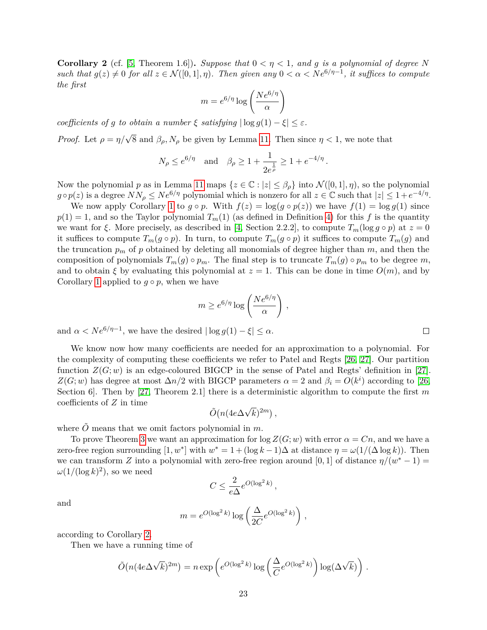<span id="page-23-0"></span>**Corollary 2** (cf. [\[5,](#page-24-11) Theorem 1.6]). *Suppose that*  $0 < \eta < 1$ *, and g is a polynomial of degree* N *such that*  $g(z) \neq 0$  *for all*  $z \in \mathcal{N}([0,1], \eta)$ *. Then given any*  $0 < \alpha < N e^{6/\eta - 1}$ *, it suffices to compute the first*

$$
m = e^{6/\eta} \log \left( \frac{N e^{6/\eta}}{\alpha} \right)
$$

*coefficients of q to obtain a number*  $\xi$  *satisfying*  $|\log q(1) - \xi| \leq \varepsilon$ *.* 

*Proof.* Let  $\rho = \eta/\sqrt{8}$  and  $\beta_{\rho}, N_{\rho}$  be given by Lemma [11.](#page-22-0) Then since  $\eta < 1$ , we note that

$$
N_{\rho} \le e^{6/\eta}
$$
 and  $\beta_{\rho} \ge 1 + \frac{1}{2e^{\frac{1}{\rho}}} \ge 1 + e^{-4/\eta}$ .

Now the polynomial *p* as in Lemma [11](#page-22-0) maps  $\{z \in \mathbb{C} : |z| \leq \beta_o\}$  into  $\mathcal{N}([0,1], \eta)$ , so the polynomial  $g \circ p(z)$  is a degree  $NN_\rho \leq Ne^{6/\eta}$  polynomial which is nonzero for all  $z \in \mathbb{C}$  such that  $|z| \leq 1 + e^{-4/\eta}$ .

We now apply Corollary [1](#page-21-2) to  $g \circ p$ . With  $f(z) = \log(g \circ p(z))$  we have  $f(1) = \log g(1)$  since  $p(1) = 1$ , and so the Taylor polynomial  $T_m(1)$  (as defined in Definition [4\)](#page-21-3) for this *f* is the quantity we want for *ξ*. More precisely, as described in [\[4,](#page-24-3) Section 2.2.2], to compute  $T_m(\log g \circ p)$  at  $z = 0$ it suffices to compute  $T_m(g \circ p)$ . In turn, to compute  $T_m(g \circ p)$  it suffices to compute  $T_m(g)$  and the truncation  $p_m$  of  $p$  obtained by deleting all monomials of degree higher than  $m$ , and then the composition of polynomials  $T_m(g) \circ p_m$ . The final step is to truncate  $T_m(g) \circ p_m$  to be degree m, and to obtain  $\xi$  by evaluating this polynomial at  $z = 1$ . This can be done in time  $O(m)$ , and by Corollary [1](#page-21-2) applied to  $q \circ p$ , when we have

$$
m \ge e^{6/\eta} \log \left( \frac{N e^{6/\eta}}{\alpha} \right),
$$

and  $\alpha < Ne^{6/\eta-1}$ , we have the desired  $|\log g(1) - \xi| \leq \alpha$ .

We know now how many coefficients are needed for an approximation to a polynomial. For the complexity of computing these coefficients we refer to Patel and Regts [\[26,](#page-25-4) [27\]](#page-25-14). Our partition function  $Z(G; w)$  is an edge-coloured BIGCP in the sense of Patel and Regts' definition in [\[27\]](#page-25-14). *Z*(*G*; *w*) has degree at most  $\Delta n/2$  with BIGCP parameters  $\alpha = 2$  and  $\beta_i = O(k^i)$  according to [\[26,](#page-25-4) Section 6]. Then by [\[27,](#page-25-14) Theorem 2.1] there is a deterministic algorithm to compute the first *m* coefficients of *Z* in time √

$$
\tilde{O}(n(4e\Delta\sqrt{k})^{2m}),
$$

where  $\tilde{O}$  means that we omit factors polynomial in  $m$ .

To prove Theorem [3](#page-4-0) we want an approximation for  $\log Z(G; w)$  with error  $\alpha = Cn$ , and we have a zero-free region surrounding  $[1, w^*]$  with  $w^* = 1 + (\log k - 1)\Delta$  at distance  $\eta = \omega(1/(\Delta \log k))$ . Then we can transform *Z* into a polynomial with zero-free region around [0, 1] of distance  $\eta/(w^* - 1)$  $\omega(1/(\log k)^2)$ , so we need

$$
C \le \frac{2}{e\Delta} e^{O(\log^2 k)},
$$

and

$$
m = e^{O(\log^2 k)} \log \left( \frac{\Delta}{2C} e^{O(\log^2 k)} \right),
$$

according to Corollary [2.](#page-23-0)

Then we have a running time of

$$
\tilde{O}(n(4e\Delta\sqrt{k})^{2m}) = n \exp\left(e^{O(\log^2 k)} \log\left(\frac{\Delta}{C}e^{O(\log^2 k)}\right) \log(\Delta\sqrt{k})\right).
$$

 $\Box$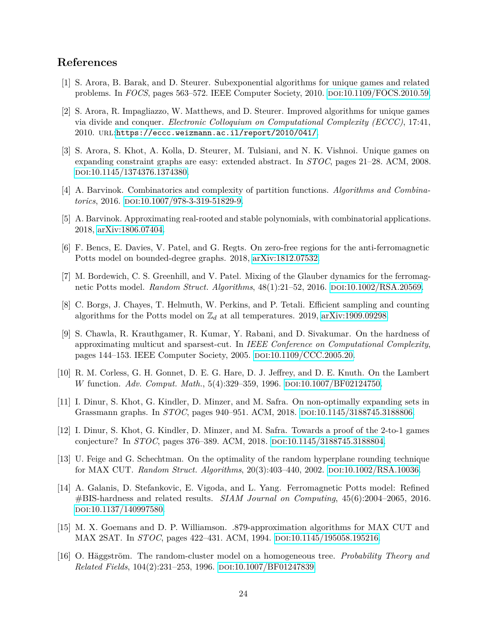# **References**

- <span id="page-24-10"></span>[1] S. Arora, B. Barak, and D. Steurer. Subexponential algorithms for unique games and related problems. In *FOCS*, pages 563–572. IEEE Computer Society, 2010. doi[:10.1109/FOCS.2010.59.](https://dx.doi.org/10.1109/FOCS.2010.59)
- <span id="page-24-9"></span>[2] S. Arora, R. Impagliazzo, W. Matthews, and D. Steurer. Improved algorithms for unique games via divide and conquer. *Electronic Colloquium on Computational Complexity (ECCC)*, 17:41, 2010. url:<https://eccc.weizmann.ac.il/report/2010/041/>.
- <span id="page-24-8"></span>[3] S. Arora, S. Khot, A. Kolla, D. Steurer, M. Tulsiani, and N. K. Vishnoi. Unique games on expanding constraint graphs are easy: extended abstract. In *STOC*, pages 21–28. ACM, 2008. doi[:10.1145/1374376.1374380.](https://dx.doi.org/10.1145/1374376.1374380)
- <span id="page-24-3"></span>[4] A. Barvinok. Combinatorics and complexity of partition functions. *Algorithms and Combinatorics*, 2016. DOI[:10.1007/978-3-319-51829-9.](https://dx.doi.org/10.1007/978-3-319-51829-9)
- <span id="page-24-11"></span>[5] A. Barvinok. Approximating real-rooted and stable polynomials, with combinatorial applications. 2018, [arXiv:1806.07404.](https://arxiv.org/abs/1806.07404)
- <span id="page-24-5"></span>[6] F. Bencs, E. Davies, V. Patel, and G. Regts. On zero-free regions for the anti-ferromagnetic Potts model on bounded-degree graphs. 2018, [arXiv:1812.07532.](https://arxiv.org/abs/1812.07532)
- <span id="page-24-14"></span>[7] M. Bordewich, C. S. Greenhill, and V. Patel. Mixing of the Glauber dynamics for the ferromagnetic Potts model. *Random Struct. Algorithms*, 48(1):21–52, 2016. doi[:10.1002/RSA.20569.](https://dx.doi.org/10.1002/RSA.20569)
- <span id="page-24-4"></span>[8] C. Borgs, J. Chayes, T. Helmuth, W. Perkins, and P. Tetali. Efficient sampling and counting algorithms for the Potts model on Z*<sup>d</sup>* at all temperatures. 2019, [arXiv:1909.09298.](https://arxiv.org/abs/1909.09298)
- <span id="page-24-0"></span>[9] S. Chawla, R. Krauthgamer, R. Kumar, Y. Rabani, and D. Sivakumar. On the hardness of approximating multicut and sparsest-cut. In *IEEE Conference on Computational Complexity*, pages 144–153. IEEE Computer Society, 2005. doi[:10.1109/CCC.2005.20.](https://dx.doi.org/10.1109/CCC.2005.20)
- <span id="page-24-15"></span>[10] R. M. Corless, G. H. Gonnet, D. E. G. Hare, D. J. Jeffrey, and D. E. Knuth. On the Lambert *W* function. *Adv. Comput. Math.*, 5(4):329–359, 1996. doi[:10.1007/BF02124750.](https://dx.doi.org/10.1007/BF02124750)
- <span id="page-24-1"></span>[11] I. Dinur, S. Khot, G. Kindler, D. Minzer, and M. Safra. On non-optimally expanding sets in Grassmann graphs. In *STOC*, pages 940–951. ACM, 2018. DOI[:10.1145/3188745.3188806.](https://dx.doi.org/10.1145/3188745.3188806)
- <span id="page-24-2"></span>[12] I. Dinur, S. Khot, G. Kindler, D. Minzer, and M. Safra. Towards a proof of the 2-to-1 games conjecture? In *STOC*, pages 376-389. ACM, 2018. DOI[:10.1145/3188745.3188804.](https://dx.doi.org/10.1145/3188745.3188804)
- <span id="page-24-7"></span>[13] U. Feige and G. Schechtman. On the optimality of the random hyperplane rounding technique for MAX CUT. *Random Struct. Algorithms*, 20(3):403–440, 2002. doi[:10.1002/RSA.10036.](https://dx.doi.org/10.1002/RSA.10036)
- <span id="page-24-13"></span>[14] A. Galanis, D. Stefankovic, E. Vigoda, and L. Yang. Ferromagnetic Potts model: Refined #BIS-hardness and related results. *SIAM Journal on Computing*, 45(6):2004–2065, 2016. doi[:10.1137/140997580.](https://dx.doi.org/10.1137/140997580)
- <span id="page-24-6"></span>[15] M. X. Goemans and D. P. Williamson. .879-approximation algorithms for MAX CUT and MAX 2SAT. In *STOC*, pages 422–431. ACM, 1994. doi[:10.1145/195058.195216.](https://dx.doi.org/10.1145/195058.195216)
- <span id="page-24-12"></span>[16] O. Häggström. The random-cluster model on a homogeneous tree. *Probability Theory and Related Fields*, 104(2):231–253, 1996. doi[:10.1007/BF01247839.](https://dx.doi.org/10.1007/BF01247839)